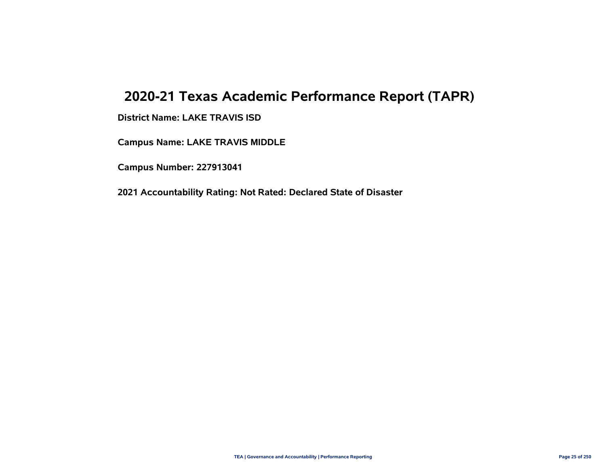# **2020-21 Texas Academic Performance Report (TAPR)**

**District Name: LAKE TRAVIS ISD**

**Campus Name: LAKE TRAVIS MIDDLE**

**Campus Number: 227913041**

**2021 Accountability Rating: Not Rated: Declared State of Disaster**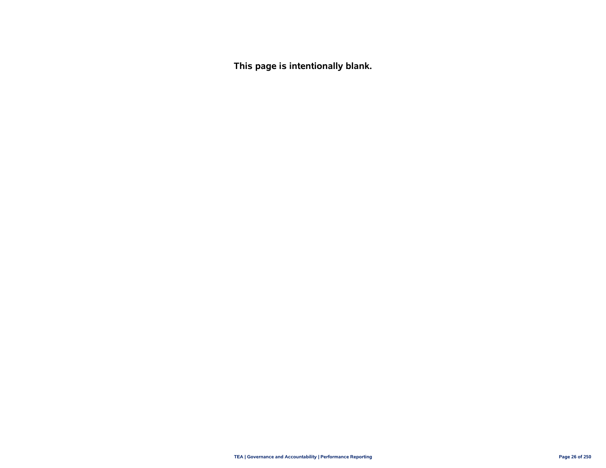**This page is intentionally blank.**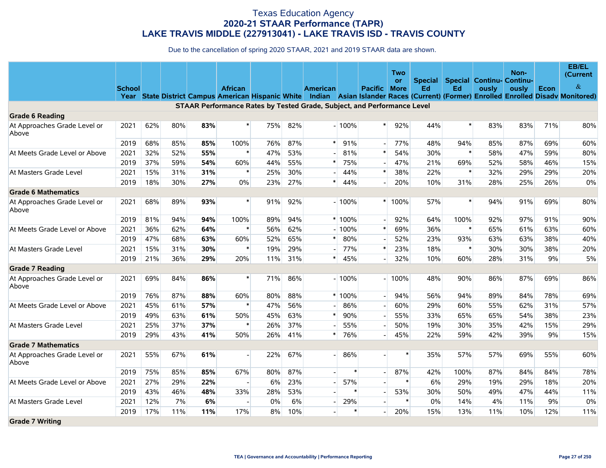|                                       |               |     |     |     |                                                                         |     |     |                 |         |                          | Two         |                |        |       | Non-                             |      | EB/EL<br>(Current                                                                                                                     |
|---------------------------------------|---------------|-----|-----|-----|-------------------------------------------------------------------------|-----|-----|-----------------|---------|--------------------------|-------------|----------------|--------|-------|----------------------------------|------|---------------------------------------------------------------------------------------------------------------------------------------|
|                                       |               |     |     |     |                                                                         |     |     |                 |         |                          | <b>or</b>   | <b>Special</b> |        |       | <b>Special Continu- Continu-</b> |      | $\&$                                                                                                                                  |
|                                       | <b>School</b> |     |     |     | <b>African</b>                                                          |     |     | <b>American</b> |         | <b>Pacific</b>           | <b>More</b> | Ed             | Ed     | ously | ously                            | Econ | Year State District Campus American Hispanic White Indian Asian Islander Races (Current) (Former) Enrolled Enrolled Disady Monitored) |
|                                       |               |     |     |     | STAAR Performance Rates by Tested Grade, Subject, and Performance Level |     |     |                 |         |                          |             |                |        |       |                                  |      |                                                                                                                                       |
| <b>Grade 6 Reading</b>                |               |     |     |     |                                                                         |     |     |                 |         |                          |             |                |        |       |                                  |      |                                                                                                                                       |
| At Approaches Grade Level or<br>Above | 2021          | 62% | 80% | 83% | $\ast$                                                                  | 75% | 82% |                 | $-100%$ |                          | 92%         | 44%            | $\ast$ | 83%   | 83%                              | 71%  | 80%                                                                                                                                   |
|                                       | 2019          | 68% | 85% | 85% | 100%                                                                    | 76% | 87% | $\ast$          | 91%     | $\overline{\phantom{a}}$ | 77%         | 48%            | 94%    | 85%   | 87%                              | 69%  | 60%                                                                                                                                   |
| At Meets Grade Level or Above         | 2021          | 32% | 52% | 55% | $\ast$                                                                  | 47% | 53% |                 | 81%     | $\ast$                   | 54%         | 30%            | $\ast$ | 58%   | 47%                              | 59%  | 80%                                                                                                                                   |
|                                       | 2019          | 37% | 59% | 54% | 60%                                                                     | 44% | 55% | $\ast$          | 75%     |                          | 47%         | 21%            | 69%    | 52%   | 58%                              | 46%  | 15%                                                                                                                                   |
| At Masters Grade Level                | 2021          | 15% | 31% | 31% | $\ast$                                                                  | 25% | 30% |                 | 44%     | $\ast$                   | 38%         | 22%            | $\ast$ | 32%   | 29%                              | 29%  | 20%                                                                                                                                   |
|                                       | 2019          | 18% | 30% | 27% | 0%                                                                      | 23% | 27% | $\ast$          | 44%     |                          | 20%         | 10%            | 31%    | 28%   | 25%                              | 26%  | 0%                                                                                                                                    |
| <b>Grade 6 Mathematics</b>            |               |     |     |     |                                                                         |     |     |                 |         |                          |             |                |        |       |                                  |      |                                                                                                                                       |
| At Approaches Grade Level or<br>Above | 2021          | 68% | 89% | 93% | $\pmb{\ast}$                                                            | 91% | 92% |                 | $-100%$ | $\ast$                   | 100%        | 57%            | $\ast$ | 94%   | 91%                              | 69%  | 80%                                                                                                                                   |
|                                       | 2019          | 81% | 94% | 94% | 100%                                                                    | 89% | 94% |                 | * 100%  |                          | 92%         | 64%            | 100%   | 92%   | 97%                              | 91%  | 90%                                                                                                                                   |
| At Meets Grade Level or Above         | 2021          | 36% | 62% | 64% | $\ast$                                                                  | 56% | 62% |                 | $-100%$ | $\ast$                   | 69%         | 36%            | $\ast$ | 65%   | 61%                              | 63%  | 60%                                                                                                                                   |
|                                       | 2019          | 47% | 68% | 63% | 60%                                                                     | 52% | 65% | ∗               | 80%     |                          | 52%         | 23%            | 93%    | 63%   | 63%                              | 38%  | 40%                                                                                                                                   |
| At Masters Grade Level                | 2021          | 15% | 31% | 30% | $\ast$                                                                  | 19% | 29% |                 | 77%     | $\ast$                   | 23%         | 18%            | $\ast$ | 30%   | 30%                              | 38%  | 20%                                                                                                                                   |
|                                       | 2019          | 21% | 36% | 29% | 20%                                                                     | 11% | 31% | *               | 45%     |                          | 32%         | 10%            | 60%    | 28%   | 31%                              | 9%   | 5%                                                                                                                                    |
| <b>Grade 7 Reading</b>                |               |     |     |     |                                                                         |     |     |                 |         |                          |             |                |        |       |                                  |      |                                                                                                                                       |
| At Approaches Grade Level or<br>Above | 2021          | 69% | 84% | 86% | $\ast$                                                                  | 71% | 86% |                 | $-100%$ |                          | 100%        | 48%            | 90%    | 86%   | 87%                              | 69%  | 86%                                                                                                                                   |
|                                       | 2019          | 76% | 87% | 88% | 60%                                                                     | 80% | 88% |                 | * 100%  |                          | 94%         | 56%            | 94%    | 89%   | 84%                              | 78%  | 69%                                                                                                                                   |
| At Meets Grade Level or Above         | 2021          | 45% | 61% | 57% | $\ast$                                                                  | 47% | 56% |                 | 86%     |                          | 60%         | 29%            | 60%    | 55%   | 62%                              | 31%  | 57%                                                                                                                                   |
|                                       | 2019          | 49% | 63% | 61% | 50%                                                                     | 45% | 63% | $\ast$          | 90%     | $\overline{\phantom{a}}$ | 55%         | 33%            | 65%    | 65%   | 54%                              | 38%  | 23%                                                                                                                                   |
| At Masters Grade Level                | 2021          | 25% | 37% | 37% | $\ast$                                                                  | 26% | 37% |                 | 55%     |                          | 50%         | 19%            | 30%    | 35%   | 42%                              | 15%  | 29%                                                                                                                                   |
|                                       | 2019          | 29% | 43% | 41% | 50%                                                                     | 26% | 41% | $\ast$          | 76%     |                          | 45%         | 22%            | 59%    | 42%   | 39%                              | 9%   | 15%                                                                                                                                   |
| <b>Grade 7 Mathematics</b>            |               |     |     |     |                                                                         |     |     |                 |         |                          |             |                |        |       |                                  |      |                                                                                                                                       |
| At Approaches Grade Level or<br>Above | 2021          | 55% | 67% | 61% |                                                                         | 22% | 67% |                 | 86%     |                          | $\ast$      | 35%            | 57%    | 57%   | 69%                              | 55%  | 60%                                                                                                                                   |
|                                       | 2019          | 75% | 85% | 85% | 67%                                                                     | 80% | 87% |                 |         | $\overline{\phantom{a}}$ | 87%         | 42%            | 100%   | 87%   | 84%                              | 84%  | 78%                                                                                                                                   |
| At Meets Grade Level or Above         | 2021          | 27% | 29% | 22% |                                                                         | 6%  | 23% |                 | 57%     |                          | $\ast$      | 6%             | 29%    | 19%   | 29%                              | 18%  | 20%                                                                                                                                   |
|                                       | 2019          | 43% | 46% | 48% | 33%                                                                     | 28% | 53% |                 | $\ast$  |                          | 53%         | 30%            | 50%    | 49%   | 47%                              | 44%  | 11%                                                                                                                                   |
| At Masters Grade Level                | 2021          | 12% | 7%  | 6%  |                                                                         | 0%  | 6%  |                 | 29%     |                          | $\ast$      | $0\%$          | 14%    | 4%    | 11%                              | 9%   | 0%                                                                                                                                    |
|                                       | 2019          | 17% | 11% | 11% | 17%                                                                     | 8%  | 10% |                 |         |                          | 20%         | 15%            | 13%    | 11%   | 10%                              | 12%  | 11%                                                                                                                                   |
| <b>Grade 7 Writing</b>                |               |     |     |     |                                                                         |     |     |                 |         |                          |             |                |        |       |                                  |      |                                                                                                                                       |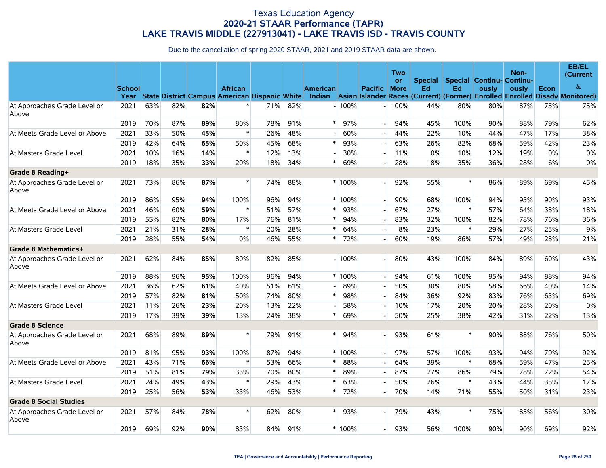|                                       |                       |     |     |     |                                                                        |     |     |                 |          |                | Two         |     |        |                                          | Non-  |      | EB/EL<br>(Current                                                                  |
|---------------------------------------|-----------------------|-----|-----|-----|------------------------------------------------------------------------|-----|-----|-----------------|----------|----------------|-------------|-----|--------|------------------------------------------|-------|------|------------------------------------------------------------------------------------|
|                                       |                       |     |     |     |                                                                        |     |     |                 |          |                | or          |     |        | <b>Special Special Continu- Continu-</b> |       |      | $\&$                                                                               |
|                                       | <b>School</b><br>Year |     |     |     | <b>African</b><br><b>State District Campus American Hispanic White</b> |     |     | <b>American</b> |          | <b>Pacific</b> | <b>More</b> | Ed  | Ed     | ously                                    | ously | Econ | Indian Asian Islander Races (Current) (Former) Enrolled Enrolled Disady Monitored) |
| At Approaches Grade Level or          | 2021                  | 63% | 82% | 82% |                                                                        | 71% | 82% |                 | $-100%$  |                | 100%        | 44% | 80%    | 80%                                      | 87%   | 75%  | 75%                                                                                |
| Above                                 |                       |     |     |     |                                                                        |     |     |                 |          |                |             |     |        |                                          |       |      |                                                                                    |
|                                       | 2019                  | 70% | 87% | 89% | 80%                                                                    | 78% | 91% | $\pmb{\ast}$    | 97%      |                | 94%         | 45% | 100%   | 90%                                      | 88%   | 79%  | 62%                                                                                |
| At Meets Grade Level or Above         | 2021                  | 33% | 50% | 45% | $\ast$                                                                 | 26% | 48% |                 | 60%      |                | 44%         | 22% | 10%    | 44%                                      | 47%   | 17%  | 38%                                                                                |
|                                       | 2019                  | 42% | 64% | 65% | 50%                                                                    | 45% | 68% |                 | 93%      |                | 63%         | 26% | 82%    | 68%                                      | 59%   | 42%  | 23%                                                                                |
| At Masters Grade Level                | 2021                  | 10% | 16% | 14% | $\ast$                                                                 | 12% | 13% |                 | 30%      |                | 11%         | 0%  | 10%    | 12%                                      | 19%   | 0%   | 0%                                                                                 |
|                                       | 2019                  | 18% | 35% | 33% | 20%                                                                    | 18% | 34% | $\ast$          | 69%      |                | 28%         | 18% | 35%    | 36%                                      | 28%   | 6%   | 0%                                                                                 |
| Grade 8 Reading+                      |                       |     |     |     |                                                                        |     |     |                 |          |                |             |     |        |                                          |       |      |                                                                                    |
| At Approaches Grade Level or<br>Above | 2021                  | 73% | 86% | 87% | $\ast$                                                                 | 74% | 88% |                 | $*100\%$ |                | 92%         | 55% | $\ast$ | 86%                                      | 89%   | 69%  | 45%                                                                                |
|                                       | 2019                  | 86% | 95% | 94% | 100%                                                                   | 96% | 94% |                 | $*100%$  |                | 90%         | 68% | 100%   | 94%                                      | 93%   | 90%  | 93%                                                                                |
| At Meets Grade Level or Above         | 2021                  | 46% | 60% | 59% | $\ast$                                                                 | 51% | 57% | $\ast$          | 93%      |                | 67%         | 27% | $\ast$ | 57%                                      | 64%   | 38%  | 18%                                                                                |
|                                       | 2019                  | 55% | 82% | 80% | 17%                                                                    | 76% | 81% | $\ast$          | 94%      |                | 83%         | 32% | 100%   | 82%                                      | 78%   | 76%  | 36%                                                                                |
| At Masters Grade Level                | 2021                  | 21% | 31% | 28% | $\ast$                                                                 | 20% | 28% | $\ast$          | 64%      |                | 8%          | 23% | $\ast$ | 29%                                      | 27%   | 25%  | 9%                                                                                 |
|                                       | 2019                  | 28% | 55% | 54% | 0%                                                                     | 46% | 55% | $\ast$          | 72%      |                | 60%         | 19% | 86%    | 57%                                      | 49%   | 28%  | 21%                                                                                |
| <b>Grade 8 Mathematics+</b>           |                       |     |     |     |                                                                        |     |     |                 |          |                |             |     |        |                                          |       |      |                                                                                    |
| At Approaches Grade Level or<br>Above | 2021                  | 62% | 84% | 85% | 80%                                                                    | 82% | 85% |                 | $-100%$  |                | 80%         | 43% | 100%   | 84%                                      | 89%   | 60%  | 43%                                                                                |
|                                       | 2019                  | 88% | 96% | 95% | 100%                                                                   | 96% | 94% |                 | * 100%   |                | 94%         | 61% | 100%   | 95%                                      | 94%   | 88%  | 94%                                                                                |
| At Meets Grade Level or Above         | 2021                  | 36% | 62% | 61% | 40%                                                                    | 51% | 61% |                 | 89%      |                | 50%         | 30% | 80%    | 58%                                      | 66%   | 40%  | 14%                                                                                |
|                                       | 2019                  | 57% | 82% | 81% | 50%                                                                    | 74% | 80% | $\ast$          | 98%      |                | 84%         | 36% | 92%    | 83%                                      | 76%   | 63%  | 69%                                                                                |
| At Masters Grade Level                | 2021                  | 11% | 26% | 23% | 20%                                                                    | 13% | 22% |                 | 58%      |                | 10%         | 17% | 20%    | 20%                                      | 28%   | 20%  | 0%                                                                                 |
|                                       | 2019                  | 17% | 39% | 39% | 13%                                                                    | 24% | 38% | $\ast$          | 69%      |                | 50%         | 25% | 38%    | 42%                                      | 31%   | 22%  | 13%                                                                                |
| <b>Grade 8 Science</b>                |                       |     |     |     |                                                                        |     |     |                 |          |                |             |     |        |                                          |       |      |                                                                                    |
| At Approaches Grade Level or<br>Above | 2021                  | 68% | 89% | 89% | $\ast$                                                                 | 79% | 91% | $\ast$          | 94%      |                | 93%         | 61% | $\ast$ | 90%                                      | 88%   | 76%  | 50%                                                                                |
|                                       | 2019                  | 81% | 95% | 93% | 100%                                                                   | 87% | 94% |                 | $*100%$  |                | 97%         | 57% | 100%   | 93%                                      | 94%   | 79%  | 92%                                                                                |
| At Meets Grade Level or Above         | 2021                  | 43% | 71% | 66% | $\ast$                                                                 | 53% | 66% |                 | 88%      |                | 64%         | 39% | $\ast$ | 68%                                      | 59%   | 47%  | 25%                                                                                |
|                                       | 2019                  | 51% | 81% | 79% | 33%                                                                    | 70% | 80% |                 | 89%      |                | 87%         | 27% | 86%    | 79%                                      | 78%   | 72%  | 54%                                                                                |
| At Masters Grade Level                | 2021                  | 24% | 49% | 43% | $\ast$                                                                 | 29% | 43% |                 | 63%      |                | 50%         | 26% | $\ast$ | 43%                                      | 44%   | 35%  | 17%                                                                                |
|                                       | 2019                  | 25% | 56% | 53% | 33%                                                                    | 46% | 53% |                 | 72%      |                | 70%         | 14% | 71%    | 55%                                      | 50%   | 31%  | 23%                                                                                |
| <b>Grade 8 Social Studies</b>         |                       |     |     |     |                                                                        |     |     |                 |          |                |             |     |        |                                          |       |      |                                                                                    |
| At Approaches Grade Level or<br>Above | 2021                  | 57% | 84% | 78% | $\ast$                                                                 | 62% | 80% | $\ast$          | 93%      |                | 79%         | 43% | $\ast$ | 75%                                      | 85%   | 56%  | 30%                                                                                |
|                                       | 2019                  | 69% | 92% | 90% | 83%                                                                    | 84% | 91% |                 | * 100%   |                | 93%         | 56% | 100%   | 90%                                      | 90%   | 69%  | 92%                                                                                |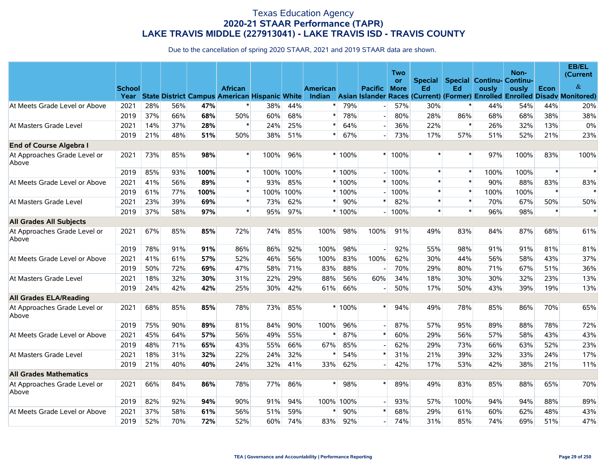|                                       |               |     |     |      |                                                    |      |      |                 |         |                | Two<br><b>or</b> | Special   |               | <b>Special Continu- Continu-</b> | Non-  |        | EB/EL<br>(Current                                                           |
|---------------------------------------|---------------|-----|-----|------|----------------------------------------------------|------|------|-----------------|---------|----------------|------------------|-----------|---------------|----------------------------------|-------|--------|-----------------------------------------------------------------------------|
|                                       | <b>School</b> |     |     |      | <b>African</b>                                     |      |      | <b>American</b> |         | <b>Pacific</b> | <b>More</b>      | <b>Ed</b> | <b>Ed</b>     | ously                            | ously | Econ   | &                                                                           |
|                                       |               |     |     |      | Year State District Campus American Hispanic White |      |      | Indian          |         |                |                  |           |               |                                  |       |        | Asian Islander Races (Current) (Former) Enrolled Enrolled Disady Monitored) |
| At Meets Grade Level or Above         | 2021          | 28% | 56% | 47%  |                                                    | 38%  | 44%  |                 | 79%     |                | 57%              | 30%       |               | 44%                              | 54%   | 44%    | 20%                                                                         |
|                                       | 2019          | 37% | 66% | 68%  | 50%<br>$\ast$                                      | 60%  | 68%  |                 | 78%     |                | 80%              | 28%       | 86%<br>$\ast$ | 68%                              | 68%   | 38%    | 38%                                                                         |
| At Masters Grade Level                | 2021          | 14% | 37% | 28%  |                                                    | 24%  | 25%  |                 | 64%     |                | 36%              | 22%       |               | 26%                              | 32%   | 13%    | 0%                                                                          |
|                                       | 2019          | 21% | 48% | 51%  | 50%                                                | 38%  | 51%  |                 | 67%     |                | 73%              | 17%       | 57%           | 51%                              | 52%   | 21%    | 23%                                                                         |
| <b>End of Course Algebra I</b>        |               |     |     |      |                                                    |      |      |                 |         |                |                  |           | $\ast$        |                                  |       |        |                                                                             |
| At Approaches Grade Level or<br>Above | 2021          | 73% | 85% | 98%  | $\ast$                                             | 100% | 96%  |                 | * 100%  |                | $*$ 100%         | $\ast$    |               | 97%                              | 100%  | 83%    | 100%                                                                        |
|                                       | 2019          | 85% | 93% | 100% | $\ast$                                             | 100% | 100% |                 | * 100%  |                | 100%             | $\ast$    | $\ast$        | 100%                             | 100%  | $\ast$ | $\ast$                                                                      |
| At Meets Grade Level or Above         | 2021          | 41% | 56% | 89%  | $\ast$                                             | 93%  | 85%  |                 | * 100%  | ∗              | 100%             | $\ast$    | $\ast$        | 90%                              | 88%   | 83%    | 83%                                                                         |
|                                       | 2019          | 61% | 77% | 100% | $\ast$                                             | 100% | 100% |                 | * 100%  |                | 100%             | $\ast$    | $\ast$        | 100%                             | 100%  | $\ast$ | $\ast$                                                                      |
| At Masters Grade Level                | 2021          | 23% | 39% | 69%  | $\ast$                                             | 73%  | 62%  | ∗               | 90%     | $\ast$         | 82%              | $\ast$    | $\ast$        | 70%                              | 67%   | 50%    | 50%                                                                         |
|                                       | 2019          | 37% | 58% | 97%  | $\ast$                                             | 95%  | 97%  |                 | $*100%$ |                | 100%             | $\ast$    | $\ast$        | 96%                              | 98%   | $\ast$ | $\ast$                                                                      |
| <b>All Grades All Subjects</b>        |               |     |     |      |                                                    |      |      |                 |         |                |                  |           |               |                                  |       |        |                                                                             |
| At Approaches Grade Level or<br>Above | 2021          | 67% | 85% | 85%  | 72%                                                | 74%  | 85%  | 100%            | 98%     | 100%           | 91%              | 49%       | 83%           | 84%                              | 87%   | 68%    | 61%                                                                         |
|                                       | 2019          | 78% | 91% | 91%  | 86%                                                | 86%  | 92%  | 100%            | 98%     |                | 92%              | 55%       | 98%           | 91%                              | 91%   | 81%    | 81%                                                                         |
| At Meets Grade Level or Above         | 2021          | 41% | 61% | 57%  | 52%                                                | 46%  | 56%  | 100%            | 83%     | 100%           | 62%              | 30%       | 44%           | 56%                              | 58%   | 43%    | 37%                                                                         |
|                                       | 2019          | 50% | 72% | 69%  | 47%                                                | 58%  | 71%  | 83%             | 88%     |                | 70%              | 29%       | 80%           | 71%                              | 67%   | 51%    | 36%                                                                         |
| At Masters Grade Level                | 2021          | 18% | 32% | 30%  | 31%                                                | 22%  | 29%  | 88%             | 56%     | 60%            | 34%              | 18%       | 30%           | 30%                              | 32%   | 23%    | 13%                                                                         |
|                                       | 2019          | 24% | 42% | 42%  | 25%                                                | 30%  | 42%  | 61%             | 66%     |                | 50%              | 17%       | 50%           | 43%                              | 39%   | 19%    | 13%                                                                         |
| <b>All Grades ELA/Reading</b>         |               |     |     |      |                                                    |      |      |                 |         |                |                  |           |               |                                  |       |        |                                                                             |
| At Approaches Grade Level or<br>Above | 2021          | 68% | 85% | 85%  | 78%                                                | 73%  | 85%  |                 | $*100%$ |                | 94%              | 49%       | 78%           | 85%                              | 86%   | 70%    | 65%                                                                         |
|                                       | 2019          | 75% | 90% | 89%  | 81%                                                | 84%  | 90%  | 100%            | 96%     |                | 87%              | 57%       | 95%           | 89%                              | 88%   | 78%    | 72%                                                                         |
| At Meets Grade Level or Above         | 2021          | 45% | 64% | 57%  | 56%                                                | 49%  | 55%  | $\ast$          | 87%     | $\ast$         | 60%              | 29%       | 56%           | 57%                              | 58%   | 43%    | 43%                                                                         |
|                                       | 2019          | 48% | 71% | 65%  | 43%                                                | 55%  | 66%  | 67%             | 85%     |                | 62%              | 29%       | 73%           | 66%                              | 63%   | 52%    | 23%                                                                         |
| At Masters Grade Level                | 2021          | 18% | 31% | 32%  | 22%                                                | 24%  | 32%  | $\ast$          | 54%     | $\ast$         | 31%              | 21%       | 39%           | 32%                              | 33%   | 24%    | 17%                                                                         |
|                                       | 2019          | 21% | 40% | 40%  | 24%                                                | 32%  | 41%  | 33%             | 62%     |                | 42%              | 17%       | 53%           | 42%                              | 38%   | 21%    | 11%                                                                         |
| <b>All Grades Mathematics</b>         |               |     |     |      |                                                    |      |      |                 |         |                |                  |           |               |                                  |       |        |                                                                             |
| At Approaches Grade Level or<br>Above | 2021          | 66% | 84% | 86%  | 78%                                                | 77%  | 86%  | $\ast$          | 98%     | *              | 89%              | 49%       | 83%           | 85%                              | 88%   | 65%    | 70%                                                                         |
|                                       | 2019          | 82% | 92% | 94%  | 90%                                                | 91%  | 94%  | 100%            | 100%    |                | 93%              | 57%       | 100%          | 94%                              | 94%   | 88%    | 89%                                                                         |
| At Meets Grade Level or Above         | 2021          | 37% | 58% | 61%  | 56%                                                | 51%  | 59%  |                 | 90%     |                | 68%              | 29%       | 61%           | 60%                              | 62%   | 48%    | 43%                                                                         |
|                                       | 2019          | 52% | 70% | 72%  | 52%                                                | 60%  | 74%  | 83%             | 92%     |                | 74%              | 31%       | 85%           | 74%                              | 69%   | 51%    | 47%                                                                         |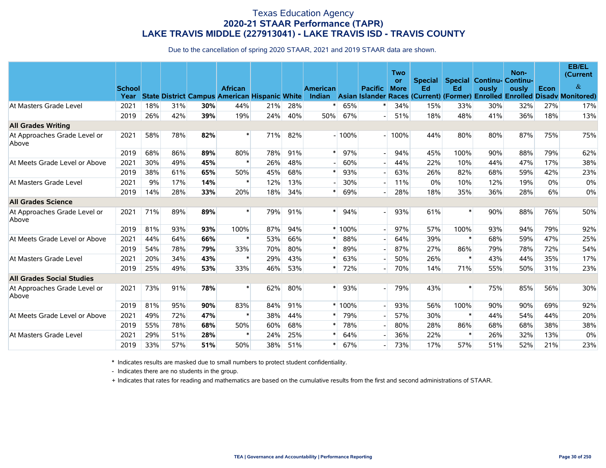Due to the cancellation of spring 2020 STAAR, 2021 and 2019 STAAR data are shown.

|                                       | <b>School</b><br>Year |     |     |     | <b>African</b><br><b>State District Campus American Hispanic White</b> |     |     | <b>American</b><br>Indian |          | <b>Pacific</b> | <b>Two</b><br>or<br><b>More</b> | <b>Special</b><br>Ed | Ed     | <b>Special Continu- Continu-</b><br>ously | Non-<br>ously | Econ  | EB/EL<br>(Current)<br>$\alpha$<br>Asian Islander Races (Current) (Former) Enrolled Enrolled Disady Monitored) |
|---------------------------------------|-----------------------|-----|-----|-----|------------------------------------------------------------------------|-----|-----|---------------------------|----------|----------------|---------------------------------|----------------------|--------|-------------------------------------------|---------------|-------|---------------------------------------------------------------------------------------------------------------|
| At Masters Grade Level                | 2021                  | 18% | 31% | 30% | 44%                                                                    | 21% | 28% | $\ast$                    | 65%      | $\ast$         | 34%                             | 15%                  | 33%    | 30%                                       | 32%           | 27%   | 17%                                                                                                           |
|                                       | 2019                  | 26% | 42% | 39% | 19%                                                                    | 24% | 40% | 50%                       | 67%      |                | 51%                             | 18%                  | 48%    | 41%                                       | 36%           | 18%   | 13%                                                                                                           |
| <b>All Grades Writing</b>             |                       |     |     |     |                                                                        |     |     |                           |          |                |                                 |                      |        |                                           |               |       |                                                                                                               |
| At Approaches Grade Level or<br>Above | 2021                  | 58% | 78% | 82% | $\ast$                                                                 | 71% | 82% |                           | $-100%$  |                | 100%                            | 44%                  | 80%    | 80%                                       | 87%           | 75%   | 75%                                                                                                           |
|                                       | 2019                  | 68% | 86% | 89% | 80%                                                                    | 78% | 91% | $\ast$                    | 97%      |                | 94%                             | 45%                  | 100%   | 90%                                       | 88%           | 79%   | 62%                                                                                                           |
| At Meets Grade Level or Above         | 2021                  | 30% | 49% | 45% | $\ast$                                                                 | 26% | 48% |                           | 60%      |                | 44%                             | 22%                  | 10%    | 44%                                       | 47%           | 17%   | 38%                                                                                                           |
|                                       | 2019                  | 38% | 61% | 65% | 50%                                                                    | 45% | 68% |                           | 93%      |                | 63%                             | 26%                  | 82%    | 68%                                       | 59%           | 42%   | 23%                                                                                                           |
| At Masters Grade Level                | 2021                  | 9%  | 17% | 14% | $\ast$                                                                 | 12% | 13% |                           | 30%      |                | 11%                             | 0%                   | 10%    | 12%                                       | 19%           | $0\%$ | 0%                                                                                                            |
|                                       | 2019                  | 14% | 28% | 33% | 20%                                                                    | 18% | 34% |                           | 69%      |                | 28%                             | 18%                  | 35%    | 36%                                       | 28%           | 6%    | 0%                                                                                                            |
| <b>All Grades Science</b>             |                       |     |     |     |                                                                        |     |     |                           |          |                |                                 |                      |        |                                           |               |       |                                                                                                               |
| At Approaches Grade Level or<br>Above | 2021                  | 71% | 89% | 89% | $\ast$                                                                 | 79% | 91% | $\ast$                    | 94%      |                | 93%                             | 61%                  | $\ast$ | 90%                                       | 88%           | 76%   | 50%                                                                                                           |
|                                       | 2019                  | 81% | 93% | 93% | 100%                                                                   | 87% | 94% |                           | $*100%$  |                | 97%                             | 57%                  | 100%   | 93%                                       | 94%           | 79%   | 92%                                                                                                           |
| At Meets Grade Level or Above         | 2021                  | 44% | 64% | 66% |                                                                        | 53% | 66% |                           | 88%      |                | 64%                             | 39%                  | $\ast$ | 68%                                       | 59%           | 47%   | 25%                                                                                                           |
|                                       | 2019                  | 54% | 78% | 79% | 33%                                                                    | 70% | 80% |                           | 89%      |                | 87%                             | 27%                  | 86%    | 79%                                       | 78%           | 72%   | 54%                                                                                                           |
| At Masters Grade Level                | 2021                  | 20% | 34% | 43% | $\ast$                                                                 | 29% | 43% |                           | 63%      |                | 50%                             | 26%                  | $\ast$ | 43%                                       | 44%           | 35%   | 17%                                                                                                           |
|                                       | 2019                  | 25% | 49% | 53% | 33%                                                                    | 46% | 53% | $\ast$                    | 72%      |                | 70%                             | 14%                  | 71%    | 55%                                       | 50%           | 31%   | 23%                                                                                                           |
| <b>All Grades Social Studies</b>      |                       |     |     |     |                                                                        |     |     |                           |          |                |                                 |                      |        |                                           |               |       |                                                                                                               |
| At Approaches Grade Level or<br>Above | 2021                  | 73% | 91% | 78% | $\ast$                                                                 | 62% | 80% | $\ast$                    | 93%      |                | 79%                             | 43%                  | $\ast$ | 75%                                       | 85%           | 56%   | 30%                                                                                                           |
|                                       | 2019                  | 81% | 95% | 90% | 83%                                                                    | 84% | 91% |                           | $*100\%$ |                | 93%                             | 56%                  | 100%   | 90%                                       | 90%           | 69%   | 92%                                                                                                           |
| At Meets Grade Level or Above         | 2021                  | 49% | 72% | 47% | $\ast$                                                                 | 38% | 44% |                           | 79%      |                | 57%                             | 30%                  | $\ast$ | 44%                                       | 54%           | 44%   | 20%                                                                                                           |
|                                       | 2019                  | 55% | 78% | 68% | 50%                                                                    | 60% | 68% | $\ast$                    | 78%      |                | 80%                             | 28%                  | 86%    | 68%                                       | 68%           | 38%   | 38%                                                                                                           |
| At Masters Grade Level                | 2021                  | 29% | 51% | 28% | $\ast$                                                                 | 24% | 25% |                           | 64%      |                | 36%                             | 22%                  | $\ast$ | 26%                                       | 32%           | 13%   | 0%                                                                                                            |
|                                       | 2019                  | 33% | 57% | 51% | 50%                                                                    | 38% | 51% |                           | 67%      |                | 73%                             | 17%                  | 57%    | 51%                                       | 52%           | 21%   | 23%                                                                                                           |

\* Indicates results are masked due to small numbers to protect student confidentiality.

- Indicates there are no students in the group.

+ Indicates that rates for reading and mathematics are based on the cumulative results from the first and second administrations of STAAR.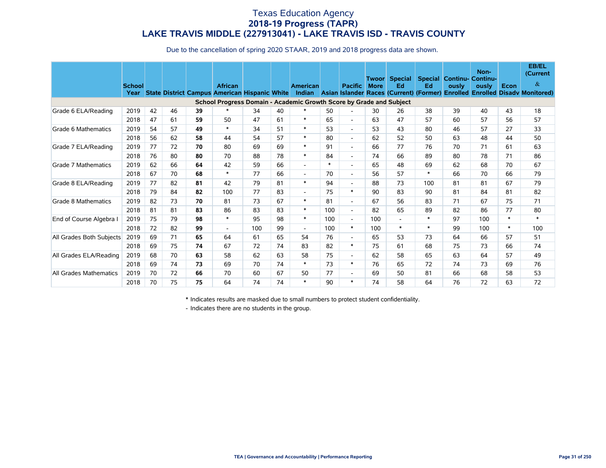Due to the cancellation of spring 2020 STAAR, 2019 and 2018 progress data are shown.

|                          | <b>School</b> |    |    |    | <b>African</b><br>Year State District Campus American Hispanic White |     |    | American                 |        | <b>Pacific</b>           | Twoor<br><b>More</b> | Special<br>Ed            | Ed     | Special Continu- Continu-<br>ously | Non-<br>ously | Econ   | <b>EB/EL</b><br>(Current<br>$\alpha$<br>Indian Asian Islander Races (Current) (Former) Enrolled Enrolled Disady Monitored) |
|--------------------------|---------------|----|----|----|----------------------------------------------------------------------|-----|----|--------------------------|--------|--------------------------|----------------------|--------------------------|--------|------------------------------------|---------------|--------|----------------------------------------------------------------------------------------------------------------------------|
|                          |               |    |    |    | School Progress Domain - Academic Growth Score by Grade and Subject  |     |    |                          |        |                          |                      |                          |        |                                    |               |        |                                                                                                                            |
| Grade 6 ELA/Reading      | 2019          | 42 | 46 | 39 | $\ast$                                                               | 34  | 40 | $\ast$                   | 50     |                          | 30                   | 26                       | 38     | 39                                 | 40            | 43     | 18                                                                                                                         |
|                          | 2018          | 47 | 61 | 59 | 50                                                                   | 47  | 61 | $\ast$                   | 65     | $\overline{a}$           | 63                   | 47                       | 57     | 60                                 | 57            | 56     | 57                                                                                                                         |
| Grade 6 Mathematics      | 2019          | 54 | 57 | 49 | $\ast$                                                               | 34  | 51 | $\ast$                   | 53     | $\overline{\phantom{a}}$ | 53                   | 43                       | 80     | 46                                 | 57            | 27     | 33                                                                                                                         |
|                          | 2018          | 56 | 62 | 58 | 44                                                                   | 54  | 57 | $\ast$                   | 80     | $\overline{a}$           | 62                   | 52                       | 50     | 63                                 | 48            | 44     | 50                                                                                                                         |
| Grade 7 ELA/Reading      | 2019          | 77 | 72 | 70 | 80                                                                   | 69  | 69 | $\ast$                   | 91     | $\overline{\phantom{a}}$ | 66                   | 77                       | 76     | 70                                 | 71            | 61     | 63                                                                                                                         |
|                          | 2018          | 76 | 80 | 80 | 70                                                                   | 88  | 78 | $\ast$                   | 84     | $\overline{\phantom{a}}$ | 74                   | 66                       | 89     | 80                                 | 78            | 71     | 86                                                                                                                         |
| Grade 7 Mathematics      | 2019          | 62 | 66 | 64 | 42                                                                   | 59  | 66 | $\overline{\phantom{a}}$ | $\ast$ | $\overline{a}$           | 65                   | 48                       | 69     | 62                                 | 68            | 70     | 67                                                                                                                         |
|                          | 2018          | 67 | 70 | 68 | $\ast$                                                               | 77  | 66 | $\overline{\phantom{a}}$ | 70     | $\overline{\phantom{a}}$ | 56                   | 57                       | $\ast$ | 66                                 | 70            | 66     | 79                                                                                                                         |
| Grade 8 ELA/Reading      | 2019          | 77 | 82 | 81 | 42                                                                   | 79  | 81 | $\ast$                   | 94     | $\overline{\phantom{a}}$ | 88                   | 73                       | 100    | 81                                 | 81            | 67     | 79                                                                                                                         |
|                          | 2018          | 79 | 84 | 82 | 100                                                                  | 77  | 83 | $\overline{\phantom{0}}$ | 75     | $\ast$                   | 90                   | 83                       | 90     | 81                                 | 84            | 81     | 82                                                                                                                         |
| Grade 8 Mathematics      | 2019          | 82 | 73 | 70 | 81                                                                   | 73  | 67 | $\ast$                   | 81     | $\overline{\phantom{a}}$ | 67                   | 56                       | 83     | 71                                 | 67            | 75     | 71                                                                                                                         |
|                          | 2018          | 81 | 81 | 83 | 86                                                                   | 83  | 83 | $\ast$                   | 100    | $\overline{\phantom{a}}$ | 82                   | 65                       | 89     | 82                                 | 86            | 77     | 80                                                                                                                         |
| End of Course Algebra I  | 2019          | 75 | 79 | 98 | $\ast$                                                               | 95  | 98 | $\ast$                   | 100    | $\blacksquare$           | 100                  | $\overline{\phantom{0}}$ | $\ast$ | 97                                 | 100           | $\ast$ | $\ast$                                                                                                                     |
|                          | 2018          | 72 | 82 | 99 | $\overline{\phantom{a}}$                                             | 100 | 99 | $\overline{a}$           | 100    | $\ast$                   | 100                  | $\ast$                   | $\ast$ | 99                                 | 100           | $\ast$ | 100                                                                                                                        |
| All Grades Both Subjects | 2019          | 69 | 71 | 65 | 64                                                                   | 61  | 65 | 54                       | 76     | $\overline{\phantom{a}}$ | 65                   | 53                       | 73     | 64                                 | 66            | 57     | 51                                                                                                                         |
|                          | 2018          | 69 | 75 | 74 | 67                                                                   | 72  | 74 | 83                       | 82     | $\ast$                   | 75                   | 61                       | 68     | 75                                 | 73            | 66     | 74                                                                                                                         |
| All Grades ELA/Reading   | 2019          | 68 | 70 | 63 | 58                                                                   | 62  | 63 | 58                       | 75     | $\overline{\phantom{a}}$ | 62                   | 58                       | 65     | 63                                 | 64            | 57     | 49                                                                                                                         |
|                          | 2018          | 69 | 74 | 73 | 69                                                                   | 70  | 74 | $\ast$                   | 73     | $\ast$                   | 76                   | 65                       | 72     | 74                                 | 73            | 69     | 76                                                                                                                         |
| All Grades Mathematics   | 2019          | 70 | 72 | 66 | 70                                                                   | 60  | 67 | 50                       | 77     | $\overline{\phantom{a}}$ | 69                   | 50                       | 81     | 66                                 | 68            | 58     | 53                                                                                                                         |
|                          | 2018          | 70 | 75 | 75 | 64                                                                   | 74  | 74 | $\ast$                   | 90     | $\ast$                   | 74                   | 58                       | 64     | 76                                 | 72            | 63     | 72                                                                                                                         |

\* Indicates results are masked due to small numbers to protect student confidentiality.

- Indicates there are no students in the group.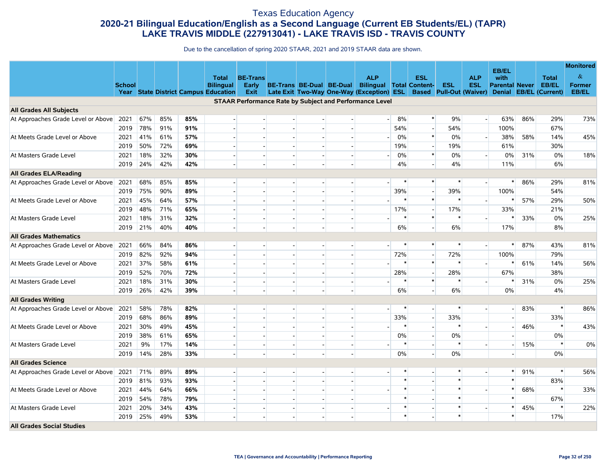# Texas Education Agency **2020-21 Bilingual Education/English as a Second Language (Current EB Students/EL) (TAPR) LAKE TRAVIS MIDDLE (227913041) - LAKE TRAVIS ISD - TRAVIS COUNTY**

|                                    |               |     |     |     |                                             |                          |                          |                                 |                          |                                                                                                             |        |                          |                         |                          | EB/EL                    |     |                        | <b>Monitored</b> |
|------------------------------------|---------------|-----|-----|-----|---------------------------------------------|--------------------------|--------------------------|---------------------------------|--------------------------|-------------------------------------------------------------------------------------------------------------|--------|--------------------------|-------------------------|--------------------------|--------------------------|-----|------------------------|------------------|
|                                    |               |     |     |     | <b>Total</b>                                | <b>BE-Trans</b>          |                          |                                 |                          | <b>ALP</b>                                                                                                  |        | <b>ESL</b>               |                         | <b>ALP</b>               | with                     |     | <b>Total</b>           | $\&$             |
|                                    | <b>School</b> |     |     |     | <b>Bilingual</b>                            | <b>Early</b>             |                          | <b>BE-Trans BE-Dual BE-Dual</b> |                          | <b>Bilingual Total Content-</b>                                                                             |        |                          | <b>ESL</b>              | <b>ESL</b>               | <b>Parental Never</b>    |     | EB/EL                  | <b>Former</b>    |
|                                    |               |     |     |     | <b>Year State District Campus Education</b> | Exit                     |                          |                                 |                          | Late Exit Two-Way One-Way (Exception) ESL<br><b>STAAR Performance Rate by Subject and Performance Level</b> |        |                          | Based Pull-Out (Waiver) |                          | <b>Denial</b>            |     | <b>EB/EL (Current)</b> | EB/EL            |
| <b>All Grades All Subjects</b>     |               |     |     |     |                                             |                          |                          |                                 |                          |                                                                                                             |        |                          |                         |                          |                          |     |                        |                  |
| At Approaches Grade Level or Above | 2021          | 67% | 85% | 85% | $\overline{a}$                              | $\sim$                   |                          |                                 | $\sim$                   | $\overline{a}$                                                                                              | 8%     | $\ast$                   | 9%                      | $\overline{\phantom{a}}$ | 63%                      | 86% | 29%                    | 73%              |
|                                    | 2019          | 78% | 91% | 91% | $\overline{\phantom{a}}$                    |                          |                          |                                 | $\overline{\phantom{a}}$ |                                                                                                             | 54%    | $\sim$                   | 54%                     |                          | 100%                     |     | 67%                    |                  |
| At Meets Grade Level or Above      | 2021          | 41% | 61% | 57% |                                             |                          |                          |                                 |                          |                                                                                                             | 0%     | $\ast$                   | 0%                      | $\overline{a}$           | 38%                      | 58% | 14%                    | 45%              |
|                                    | 2019          | 50% | 72% | 69% | $\blacksquare$                              | $\overline{a}$           | $\overline{a}$           |                                 |                          |                                                                                                             | 19%    | $\sim$                   | 19%                     |                          | 61%                      |     | 30%                    |                  |
| At Masters Grade Level             | 2021          | 18% | 32% | 30% | $\overline{\phantom{a}}$                    |                          | $\overline{\phantom{a}}$ |                                 | $\sim$                   |                                                                                                             | 0%     | $\ast$                   | $0\%$                   | $\blacksquare$           | $0\%$                    | 31% | 0%                     | 18%              |
|                                    | 2019          | 24% | 42% | 42% |                                             |                          |                          |                                 |                          |                                                                                                             | 4%     |                          | 4%                      |                          | 11%                      |     | 6%                     |                  |
| <b>All Grades ELA/Reading</b>      |               |     |     |     |                                             |                          |                          |                                 |                          |                                                                                                             |        |                          |                         |                          |                          |     |                        |                  |
| At Approaches Grade Level or Above | 2021          | 68% | 85% | 85% | $\overline{\phantom{a}}$                    |                          |                          |                                 | $\overline{\phantom{a}}$ |                                                                                                             | $\ast$ | $\ast$                   | $\ast$                  | $\blacksquare$           |                          | 86% | 29%                    | 81%              |
|                                    | 2019          | 75% | 90% | 89% | $\mathbf{r}$                                | $\mathbf{r}$             |                          |                                 |                          |                                                                                                             | 39%    |                          | 39%                     |                          | 100%                     |     | 54%                    |                  |
| At Meets Grade Level or Above      | 2021          | 45% | 64% | 57% | $\overline{a}$                              | $\overline{\phantom{a}}$ | $\overline{\phantom{a}}$ |                                 | $\overline{\phantom{a}}$ |                                                                                                             | $\ast$ | $\pmb{\ast}$             | $\ast$                  | $\Box$                   | $\ast$                   | 57% | 29%                    | 50%              |
|                                    | 2019          | 48% | 71% | 65% | $\overline{\phantom{a}}$                    |                          |                          |                                 | $\overline{\phantom{a}}$ |                                                                                                             | 17%    | $\overline{\phantom{a}}$ | 17%                     |                          | 33%                      |     | 21%                    |                  |
| At Masters Grade Level             | 2021          | 18% | 31% | 32% | $\overline{\phantom{a}}$                    | $\overline{\phantom{a}}$ |                          |                                 | $\blacksquare$           |                                                                                                             | $\ast$ | $\pmb{\ast}$             | $\ast$                  | $\mathbf{r}$             | $\ast$                   | 33% | 0%                     | 25%              |
|                                    | 2019          | 21% | 40% | 40% | $\overline{\phantom{a}}$                    | $\sim$                   | $\sim$                   |                                 | $\sim$                   |                                                                                                             | 6%     |                          | 6%                      |                          | 17%                      |     | 8%                     |                  |
| <b>All Grades Mathematics</b>      |               |     |     |     |                                             |                          |                          |                                 |                          |                                                                                                             |        |                          |                         |                          |                          |     |                        |                  |
| At Approaches Grade Level or Above | 2021          | 66% | 84% | 86% | $\overline{\phantom{a}}$                    | $\overline{a}$           |                          |                                 |                          |                                                                                                             | $\ast$ | $\ast$                   | $\ast$                  | $\overline{a}$           | $\ast$                   | 87% | 43%                    | 81%              |
|                                    | 2019          | 82% | 92% | 94% | $\overline{\phantom{a}}$                    | $\overline{a}$           |                          |                                 | $\sim$                   |                                                                                                             | 72%    | $\sim$                   | 72%                     |                          | 100%                     |     | 79%                    |                  |
| At Meets Grade Level or Above      | 2021          | 37% | 58% | 61% | $\overline{\phantom{a}}$                    |                          |                          |                                 | $\overline{\phantom{a}}$ |                                                                                                             | $\ast$ | $\ast$                   | $\ast$                  | $\frac{1}{2}$            | ∗                        | 61% | 14%                    | 56%              |
|                                    | 2019          | 52% | 70% | 72% | $\overline{\phantom{a}}$                    | $\overline{a}$           |                          |                                 |                          |                                                                                                             | 28%    |                          | 28%                     |                          | 67%                      |     | 38%                    |                  |
| At Masters Grade Level             | 2021          | 18% | 31% | 30% | $\overline{\phantom{a}}$                    | $\overline{a}$           | $\overline{\phantom{a}}$ |                                 | $\overline{\phantom{a}}$ |                                                                                                             |        | $\ast$                   | $\ast$                  |                          | $\ast$                   | 31% | 0%                     | 25%              |
|                                    | 2019          | 26% | 42% | 39% | $\overline{\phantom{a}}$                    |                          |                          |                                 |                          |                                                                                                             | 6%     |                          | 6%                      |                          | 0%                       |     | 4%                     |                  |
| <b>All Grades Writing</b>          |               |     |     |     |                                             |                          |                          |                                 |                          |                                                                                                             |        |                          |                         |                          |                          |     |                        |                  |
| At Approaches Grade Level or Above | 2021          | 58% | 78% | 82% | $\overline{\phantom{a}}$                    | $\overline{\phantom{a}}$ |                          |                                 | $\overline{\phantom{a}}$ |                                                                                                             | $\ast$ | $\sim$                   | $\ast$                  | $\overline{\phantom{a}}$ | $\overline{\phantom{a}}$ | 83% | $\ast$                 | 86%              |
|                                    | 2019          | 68% | 86% | 89% | $\overline{\phantom{a}}$                    |                          |                          |                                 | $\mathbf{r}$             |                                                                                                             | 33%    | $\sim$                   | 33%                     |                          |                          |     | 33%                    |                  |
| At Meets Grade Level or Above      | 2021          | 30% | 49% | 45% | $\overline{a}$                              | $\overline{a}$           |                          |                                 | $\overline{a}$           |                                                                                                             | $\ast$ |                          | $\ast$                  |                          | $\overline{\phantom{a}}$ | 46% | $\ast$                 | 43%              |
|                                    | 2019          | 38% | 61% | 65% | $\overline{\phantom{a}}$                    |                          |                          |                                 |                          |                                                                                                             | 0%     | $\sim$                   | 0%                      |                          | $\overline{\phantom{0}}$ |     | 0%                     |                  |
| At Masters Grade Level             | 2021          | 9%  | 17% | 14% | $\overline{a}$                              |                          |                          |                                 | $\overline{a}$           |                                                                                                             | $\ast$ | $\overline{a}$           | $\ast$                  |                          |                          | 15% | $\ast$                 | 0%               |
|                                    | 2019          | 14% | 28% | 33% | $\overline{\phantom{a}}$                    | $\overline{\phantom{a}}$ | $\overline{a}$           |                                 | $\mathbf{r}$             |                                                                                                             | 0%     | $\overline{a}$           | 0%                      |                          | $\overline{\phantom{a}}$ |     | 0%                     |                  |
| <b>All Grades Science</b>          |               |     |     |     |                                             |                          |                          |                                 |                          |                                                                                                             |        |                          |                         |                          |                          |     |                        |                  |
| At Approaches Grade Level or Above | 2021          | 71% | 89% | 89% | $\overline{a}$                              | $\overline{a}$           |                          |                                 | $\overline{\phantom{a}}$ |                                                                                                             | $\ast$ |                          | $\ast$                  | $\overline{\phantom{a}}$ | $\ast$                   | 91% | $\ast$                 | 56%              |
|                                    | 2019          | 81% | 93% | 93% | $\overline{\phantom{a}}$                    | $\sim$                   |                          |                                 | $\sim$                   |                                                                                                             | $\ast$ |                          | $\ast$                  |                          | $\ast$                   |     | 83%                    |                  |
| At Meets Grade Level or Above      | 2021          | 44% | 64% | 66% | $\overline{\phantom{a}}$                    |                          |                          |                                 |                          |                                                                                                             | $\ast$ |                          | $\ast$                  |                          | ∗                        | 68% | $\ast$                 | 33%              |
|                                    | 2019          | 54% | 78% | 79% | $\overline{a}$                              |                          |                          |                                 |                          |                                                                                                             | $\ast$ |                          | $\ast$                  |                          | $\ast$                   |     | 67%                    |                  |
| At Masters Grade Level             | 2021          | 20% | 34% | 43% | $\overline{\phantom{a}}$                    | $\sim$                   | $\sim$                   |                                 | $\overline{\phantom{a}}$ |                                                                                                             | $\ast$ | $\overline{a}$           | $\ast$                  | $\overline{a}$           | $\ast$                   | 45% | $\ast$                 | 22%              |
|                                    | 2019          | 25% | 49% | 53% | $\overline{\phantom{a}}$                    | $\blacksquare$           |                          |                                 |                          |                                                                                                             | $\ast$ |                          | $\ast$                  |                          | $\ast$                   |     | 17%                    |                  |
| <b>All Grades Social Studies</b>   |               |     |     |     |                                             |                          |                          |                                 |                          |                                                                                                             |        |                          |                         |                          |                          |     |                        |                  |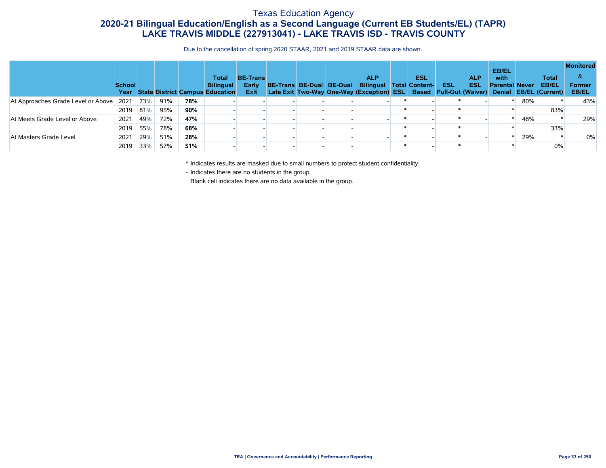# Texas Education Agency **2020-21 Bilingual Education/English as a Second Language (Current EB Students/EL) (TAPR) LAKE TRAVIS MIDDLE (227913041) - LAKE TRAVIS ISD - TRAVIS COUNTY**

Due to the cancellation of spring 2020 STAAR, 2021 and 2019 STAAR data are shown.

|                                         | School<br>Year |     |     |     | <b>Total</b><br><b>Bilingual</b><br><b>State District Campus Education</b> | <b>BE-Trans</b><br>Early<br>Exit | BE-Trans BE-Dual BE-Dual |  | <b>ALP</b><br><b>Bilingual Total Content-</b><br>Late Exit Two-Way One-Way (Exception) ESL Based Pull-Out (Waiver) Denial EB/EL (Current) | <b>ESL</b> | <b>ESL</b> | <b>ALP</b><br><b>ESL</b> | <b>EB/EL</b><br>with<br><b>Parental Never</b> |     | <b>Total</b><br><b>EB/EL</b> | <b>Monitored</b><br>&<br><b>Former</b><br><b>EB/EL</b> |
|-----------------------------------------|----------------|-----|-----|-----|----------------------------------------------------------------------------|----------------------------------|--------------------------|--|-------------------------------------------------------------------------------------------------------------------------------------------|------------|------------|--------------------------|-----------------------------------------------|-----|------------------------------|--------------------------------------------------------|
| At Approaches Grade Level or Above 2021 |                | 73% | 91% | 78% |                                                                            |                                  |                          |  |                                                                                                                                           |            |            |                          |                                               | 80% |                              | 43%                                                    |
|                                         | 2019           | 81% | 95% | 90% |                                                                            |                                  |                          |  |                                                                                                                                           |            |            |                          |                                               |     | 83%                          |                                                        |
| At Meets Grade Level or Above           | 2021           | 49% | 72% | 47% |                                                                            |                                  |                          |  |                                                                                                                                           |            |            |                          |                                               | 48% |                              | 29%                                                    |
|                                         | 2019           | 55% | 78% | 68% |                                                                            |                                  |                          |  |                                                                                                                                           |            |            |                          |                                               |     | 33%                          |                                                        |
| At Masters Grade Level                  | 2021           | 29% | 51% | 28% |                                                                            |                                  |                          |  |                                                                                                                                           |            |            |                          |                                               | 29% |                              | 0%                                                     |
|                                         | 2019           | 33% | 57% | 51% |                                                                            |                                  |                          |  |                                                                                                                                           |            |            |                          |                                               |     | 0%                           |                                                        |

\* Indicates results are masked due to small numbers to protect student confidentiality.

- Indicates there are no students in the group.

Blank cell indicates there are no data available in the group.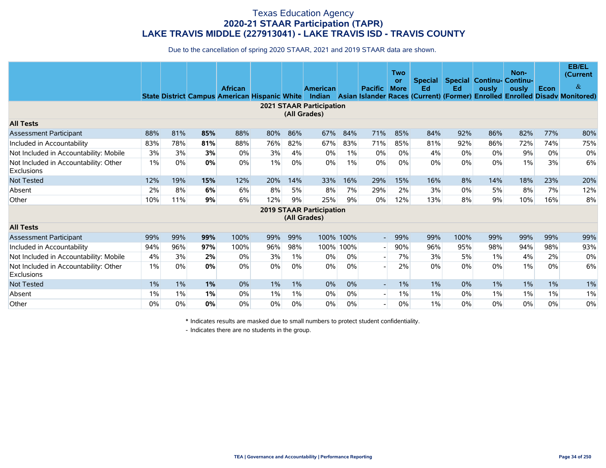Due to the cancellation of spring 2020 STAAR, 2021 and 2019 STAAR data are shown.

|                                                            |     |       |     | <b>African</b><br><b>State District Campus American Hispanic White</b> |     |       | <b>American</b>                                 |           | <b>Pacific</b>           | <b>Two</b><br>or<br><b>More</b> | <b>Special</b><br>Ed | Ed    | <b>Special Continu- Continu-</b><br>ously | Non-<br>ously | Econ  | <b>EB/EL</b><br>(Current<br>&<br>Indian Asian Islander Races (Current) (Former) Enrolled Enrolled Disady Monitored) |
|------------------------------------------------------------|-----|-------|-----|------------------------------------------------------------------------|-----|-------|-------------------------------------------------|-----------|--------------------------|---------------------------------|----------------------|-------|-------------------------------------------|---------------|-------|---------------------------------------------------------------------------------------------------------------------|
|                                                            |     |       |     |                                                                        |     |       | 2021 STAAR Participation                        |           |                          |                                 |                      |       |                                           |               |       |                                                                                                                     |
| <b>All Tests</b>                                           |     |       |     |                                                                        |     |       | (All Grades)                                    |           |                          |                                 |                      |       |                                           |               |       |                                                                                                                     |
| <b>Assessment Participant</b>                              | 88% | 81%   | 85% | 88%                                                                    | 80% | 86%   | 67%                                             | 84%       | 71%                      | 85%                             | 84%                  | 92%   | 86%                                       | 82%           | 77%   | 80%                                                                                                                 |
| Included in Accountability                                 | 83% | 78%   | 81% | 88%                                                                    | 76% | 82%   | 67%                                             | 83%       | 71%                      | 85%                             | 81%                  | 92%   | 86%                                       | 72%           | 74%   | 75%                                                                                                                 |
| Not Included in Accountability: Mobile                     | 3%  | 3%    | 3%  | $0\%$                                                                  | 3%  | 4%    | 0%                                              | 1%        | $0\%$                    | 0%                              | 4%                   | $0\%$ | 0%                                        | 9%            | 0%    | 0%                                                                                                                  |
| Not Included in Accountability: Other<br><b>Exclusions</b> | 1%  | 0%    | 0%  | 0%                                                                     | 1%  | 0%    | $0\%$                                           | 1%        | 0%                       | 0%                              | $0\%$                | 0%    | 0%                                        | $1\%$         | 3%    | 6%                                                                                                                  |
| <b>Not Tested</b>                                          | 12% | 19%   | 15% | 12%                                                                    | 20% | 14%   | 33%                                             | 16%       | 29%                      | 15%                             | 16%                  | 8%    | 14%                                       | 18%           | 23%   | 20%                                                                                                                 |
| Absent                                                     | 2%  | 8%    | 6%  | 6%                                                                     | 8%  | 5%    | 8%                                              | 7%        | 29%                      | 2%                              | 3%                   | $0\%$ | 5%                                        | 8%            | 7%    | 12%                                                                                                                 |
| Other                                                      | 10% | 11%   | 9%  | 6%                                                                     | 12% | 9%    | 25%                                             | 9%        | $0\%$                    | 12%                             | 13%                  | 8%    | 9%                                        | 10%           | 16%   | 8%                                                                                                                  |
|                                                            |     |       |     |                                                                        |     |       | <b>2019 STAAR Participation</b><br>(All Grades) |           |                          |                                 |                      |       |                                           |               |       |                                                                                                                     |
| <b>All Tests</b>                                           |     |       |     |                                                                        |     |       |                                                 |           |                          |                                 |                      |       |                                           |               |       |                                                                                                                     |
| Assessment Participant                                     | 99% | 99%   | 99% | 100%                                                                   | 99% | 99%   |                                                 | 100% 100% | $\blacksquare$           | 99%                             | 99%                  | 100%  | 99%                                       | 99%           | 99%   | 99%                                                                                                                 |
| Included in Accountability                                 | 94% | 96%   | 97% | 100%                                                                   | 96% | 98%   |                                                 | 100% 100% | $\overline{\phantom{a}}$ | 90%                             | 96%                  | 95%   | 98%                                       | 94%           | 98%   | 93%                                                                                                                 |
| Not Included in Accountability: Mobile                     | 4%  | 3%    | 2%  | $0\%$                                                                  | 3%  | 1%    | 0%                                              | $0\%$     |                          | 7%                              | 3%                   | 5%    | 1%                                        | 4%            | 2%    | 0%                                                                                                                  |
| Not Included in Accountability: Other<br><b>Exclusions</b> | 1%  | 0%    | 0%  | 0%                                                                     | 0%  | 0%    | $0\%$                                           | 0%        |                          | 2%                              | $0\%$                | 0%    | 0%                                        | 1%            | 0%    | 6%                                                                                                                  |
| <b>Not Tested</b>                                          | 1%  | $1\%$ | 1%  | 0%                                                                     | 1%  | $1\%$ | 0%                                              | 0%        |                          | $1\%$                           | $1\%$                | 0%    | $1\%$                                     | 1%            | $1\%$ | 1%                                                                                                                  |
| Absent                                                     | 1%  | 1%    | 1%  | 0%                                                                     | 1%  | 1%    | 0%                                              | 0%        |                          | 1%                              | $1\%$                | $0\%$ | 1%                                        | $1\%$         | 1%    | 1%                                                                                                                  |
| Other                                                      | 0%  | 0%    | 0%  | 0%                                                                     | 0%  | 0%    | 0%                                              | 0%        |                          | 0%                              | $1\%$                | $0\%$ | 0%                                        | 0%            | 0%    | 0%                                                                                                                  |

\* Indicates results are masked due to small numbers to protect student confidentiality.

- Indicates there are no students in the group.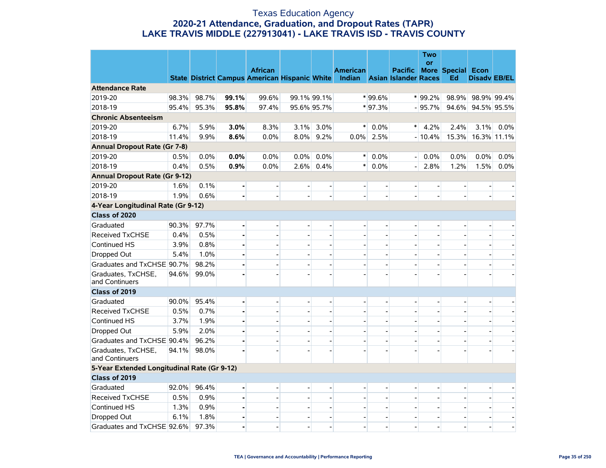#### Texas Education Agency **2020-21 Attendance, Graduation, and Dropout Rates (TAPR) LAKE TRAVIS MIDDLE (227913041) - LAKE TRAVIS ISD - TRAVIS COUNTY**

|                                             |       |       |                | <b>African</b>                                |                          |                | <b>American</b>             |                | <b>Pacific</b> | <b>Two</b><br><b>or</b> | <b>More Special Econ</b> |                     |                          |
|---------------------------------------------|-------|-------|----------------|-----------------------------------------------|--------------------------|----------------|-----------------------------|----------------|----------------|-------------------------|--------------------------|---------------------|--------------------------|
|                                             |       |       |                | State District Campus American Hispanic White |                          |                | Indian Asian Islander Races |                |                |                         | Ed                       | <b>Disady EB/EL</b> |                          |
| <b>Attendance Rate</b>                      |       |       |                |                                               |                          |                |                             |                |                |                         |                          |                     |                          |
| 2019-20                                     | 98.3% | 98.7% | 99.1%          | 99.6%                                         |                          | 99.1% 99.1%    |                             | $*99.6%$       |                | $*$ 99.2%               |                          | 98.9% 98.9% 99.4%   |                          |
| 2018-19                                     | 95.4% | 95.3% | 95.8%          | 97.4%                                         |                          | 95.6% 95.7%    |                             | $*97.3%$       |                | $-95.7%$                |                          | 94.6% 94.5% 95.5%   |                          |
| <b>Chronic Absenteeism</b>                  |       |       |                |                                               |                          |                |                             |                |                |                         |                          |                     |                          |
| 2019-20                                     | 6.7%  | 5.9%  | 3.0%           | 8.3%                                          | 3.1%                     | 3.0%           | $\ast$                      | $0.0\%$        | $\ast$         | 4.2%                    | 2.4%                     | 3.1%                | $0.0\%$                  |
| 2018-19                                     | 11.4% | 9.9%  | 8.6%           | 0.0%                                          | 8.0%                     | 9.2%           | 0.0%                        | 2.5%           |                | $-10.4%$                |                          | 15.3% 16.3% 11.1%   |                          |
| <b>Annual Dropout Rate (Gr 7-8)</b>         |       |       |                |                                               |                          |                |                             |                |                |                         |                          |                     |                          |
| 2019-20                                     | 0.5%  | 0.0%  | 0.0%           | 0.0%                                          | 0.0%                     | 0.0%           | $\ast$                      | 0.0%           | $\overline{a}$ | 0.0%                    | 0.0%                     | 0.0%                | 0.0%                     |
| 2018-19                                     | 0.4%  | 0.5%  | 0.9%           | 0.0%                                          | 2.6%                     | 0.4%           | $\ast$                      | 0.0%           |                | 2.8%                    | 1.2%                     | 1.5%                | 0.0%                     |
| <b>Annual Dropout Rate (Gr 9-12)</b>        |       |       |                |                                               |                          |                |                             |                |                |                         |                          |                     |                          |
| 2019-20                                     | 1.6%  | 0.1%  |                |                                               | $\overline{\phantom{a}}$ |                | $\overline{\phantom{a}}$    |                |                |                         |                          |                     |                          |
| 2018-19                                     | 1.9%  | 0.6%  |                |                                               |                          |                |                             |                |                |                         |                          |                     |                          |
| 4-Year Longitudinal Rate (Gr 9-12)          |       |       |                |                                               |                          |                |                             |                |                |                         |                          |                     |                          |
| Class of 2020                               |       |       |                |                                               |                          |                |                             |                |                |                         |                          |                     |                          |
| Graduated                                   | 90.3% | 97.7% | ٠              | $\overline{a}$                                | $\overline{\phantom{a}}$ | $\overline{a}$ | $\overline{\phantom{a}}$    |                |                | $\overline{a}$          | $\overline{\phantom{a}}$ | $\overline{a}$      | $\blacksquare$           |
| Received TxCHSE                             | 0.4%  | 0.5%  | $\blacksquare$ |                                               |                          |                |                             |                |                |                         |                          |                     |                          |
| Continued HS                                | 3.9%  | 0.8%  |                | $\overline{a}$                                | $\overline{\phantom{a}}$ |                | $\overline{a}$              |                |                |                         |                          |                     |                          |
| Dropped Out                                 | 5.4%  | 1.0%  |                |                                               | $\blacksquare$           |                |                             |                |                |                         |                          |                     |                          |
| Graduates and TxCHSE 90.7%                  |       | 98.2% |                | $\overline{a}$                                | $\frac{1}{2}$            |                |                             |                |                |                         |                          |                     |                          |
| Graduates, TxCHSE,<br>and Continuers        | 94.6% | 99.0% |                |                                               | $\overline{a}$           |                |                             |                |                |                         |                          |                     |                          |
| Class of 2019                               |       |       |                |                                               |                          |                |                             |                |                |                         |                          |                     |                          |
| Graduated                                   | 90.0% | 95.4% | $\blacksquare$ |                                               | $\overline{\phantom{a}}$ | $\overline{a}$ | $\overline{\phantom{a}}$    | $\overline{a}$ |                |                         | $\overline{a}$           | $\overline{a}$      |                          |
| <b>Received TxCHSE</b>                      | 0.5%  | 0.7%  |                |                                               | $\overline{\phantom{a}}$ |                | $\overline{a}$              |                |                |                         |                          |                     |                          |
| Continued HS                                | 3.7%  | 1.9%  |                |                                               | $\blacksquare$           |                |                             |                |                |                         |                          |                     |                          |
| Dropped Out                                 | 5.9%  | 2.0%  |                |                                               | $\overline{\phantom{a}}$ |                |                             |                |                |                         |                          |                     |                          |
| Graduates and TxCHSE 90.4%                  |       | 96.2% |                |                                               | $\blacksquare$           |                | $\overline{a}$              |                |                |                         | $\overline{\phantom{0}}$ |                     |                          |
| Graduates, TxCHSE,<br>and Continuers        | 94.1% | 98.0% |                |                                               |                          |                |                             |                |                |                         |                          |                     |                          |
| 5-Year Extended Longitudinal Rate (Gr 9-12) |       |       |                |                                               |                          |                |                             |                |                |                         |                          |                     |                          |
| Class of 2019                               |       |       |                |                                               |                          |                |                             |                |                |                         |                          |                     |                          |
| Graduated                                   | 92.0% | 96.4% | $\blacksquare$ |                                               | $\blacksquare$           |                | $\overline{\phantom{a}}$    |                |                |                         |                          |                     |                          |
| <b>Received TxCHSE</b>                      | 0.5%  | 0.9%  |                |                                               |                          |                |                             |                |                |                         |                          |                     |                          |
| Continued HS                                | 1.3%  | 0.9%  |                | $\blacksquare$                                | $\overline{\phantom{a}}$ |                | $\blacksquare$              |                |                |                         | $\blacksquare$           |                     |                          |
| Dropped Out                                 | 6.1%  | 1.8%  |                | $\blacksquare$                                | $\overline{\phantom{a}}$ |                | $\blacksquare$              |                |                |                         | $\overline{\phantom{a}}$ |                     | $\overline{\phantom{a}}$ |
| Graduates and TxCHSE 92.6%                  |       | 97.3% |                |                                               | $\overline{\phantom{a}}$ |                |                             |                |                |                         |                          |                     | $\overline{\phantom{a}}$ |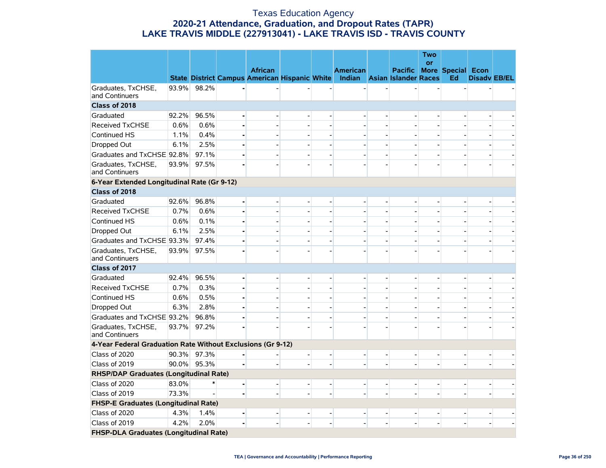#### Texas Education Agency **2020-21 Attendance, Graduation, and Dropout Rates (TAPR) LAKE TRAVIS MIDDLE (227913041) - LAKE TRAVIS ISD - TRAVIS COUNTY**

|                                                             |       |             |                |                          |                          |                                                                           |                          |                | <b>Two</b><br>or         |                          |                          |  |
|-------------------------------------------------------------|-------|-------------|----------------|--------------------------|--------------------------|---------------------------------------------------------------------------|--------------------------|----------------|--------------------------|--------------------------|--------------------------|--|
|                                                             |       |             | <b>African</b> |                          |                          | <b>American</b>                                                           |                          | <b>Pacific</b> |                          | <b>More Special Econ</b> |                          |  |
|                                                             |       |             |                |                          |                          | State District Campus American Hispanic White Indian Asian Islander Races |                          |                |                          | Ed                       | <b>Disady EB/EL</b>      |  |
| Graduates, TxCHSE,<br>and Continuers                        | 93.9% | 98.2%       |                |                          |                          |                                                                           |                          |                |                          |                          |                          |  |
| Class of 2018                                               |       |             |                |                          |                          |                                                                           |                          |                |                          |                          |                          |  |
| Graduated                                                   | 92.2% | 96.5%       |                |                          |                          |                                                                           |                          |                |                          |                          |                          |  |
| <b>Received TxCHSE</b>                                      | 0.6%  | 0.6%        |                |                          |                          |                                                                           |                          |                |                          |                          |                          |  |
| Continued HS                                                | 1.1%  | 0.4%        |                |                          |                          |                                                                           |                          |                |                          | $\overline{a}$           |                          |  |
| Dropped Out                                                 | 6.1%  | 2.5%        |                | $\blacksquare$           |                          |                                                                           |                          |                | $\overline{a}$           | $\overline{a}$           |                          |  |
| Graduates and TxCHSE 92.8%                                  |       | 97.1%       |                |                          |                          |                                                                           |                          |                |                          |                          |                          |  |
| Graduates, TxCHSE,<br>and Continuers                        | 93.9% | 97.5%       |                |                          |                          |                                                                           |                          |                |                          |                          |                          |  |
| 6-Year Extended Longitudinal Rate (Gr 9-12)                 |       |             |                |                          |                          |                                                                           |                          |                |                          |                          |                          |  |
| Class of 2018                                               |       |             |                |                          |                          |                                                                           |                          |                |                          |                          |                          |  |
| Graduated                                                   | 92.6% | 96.8%       |                |                          |                          |                                                                           |                          |                |                          |                          |                          |  |
| Received TxCHSE                                             | 0.7%  | 0.6%        |                |                          |                          |                                                                           |                          |                |                          |                          |                          |  |
| Continued HS                                                | 0.6%  | 0.1%        |                |                          |                          |                                                                           |                          |                |                          |                          |                          |  |
| Dropped Out                                                 | 6.1%  | 2.5%        |                |                          |                          |                                                                           |                          |                |                          | $\equiv$                 |                          |  |
| Graduates and TxCHSE 93.3%                                  |       | 97.4%       |                |                          |                          |                                                                           |                          |                |                          |                          |                          |  |
| Graduates, TxCHSE,<br>and Continuers                        | 93.9% | 97.5%       |                |                          |                          |                                                                           |                          |                |                          |                          |                          |  |
| Class of 2017                                               |       |             |                |                          |                          |                                                                           |                          |                |                          |                          |                          |  |
| Graduated                                                   | 92.4% | 96.5%       |                | $\overline{a}$           |                          |                                                                           |                          |                |                          |                          |                          |  |
| <b>Received TxCHSE</b>                                      | 0.7%  | 0.3%        |                |                          |                          |                                                                           |                          |                |                          |                          |                          |  |
| Continued HS                                                | 0.6%  | 0.5%        |                | $\blacksquare$           |                          |                                                                           |                          |                | $\overline{\phantom{0}}$ | $\blacksquare$           |                          |  |
| Dropped Out                                                 | 6.3%  | 2.8%        |                |                          |                          |                                                                           |                          |                |                          |                          |                          |  |
| Graduates and TxCHSE 93.2%                                  |       | 96.8%       |                |                          |                          |                                                                           |                          |                |                          |                          |                          |  |
| Graduates, TxCHSE,<br>and Continuers                        | 93.7% | 97.2%       |                |                          |                          |                                                                           |                          |                |                          |                          |                          |  |
| 4-Year Federal Graduation Rate Without Exclusions (Gr 9-12) |       |             |                |                          |                          |                                                                           |                          |                |                          |                          |                          |  |
| Class of 2020                                               | 90.3% | 97.3%       |                |                          |                          |                                                                           |                          |                |                          | $\overline{\phantom{a}}$ |                          |  |
| Class of 2019                                               |       | 90.0% 95.3% |                |                          |                          |                                                                           |                          |                |                          |                          |                          |  |
| RHSP/DAP Graduates (Longitudinal Rate)                      |       |             |                |                          |                          |                                                                           |                          |                |                          |                          |                          |  |
| Class of 2020                                               | 83.0% |             |                | $\overline{\phantom{a}}$ |                          | $\overline{\phantom{a}}$                                                  |                          |                | $\overline{\phantom{a}}$ | $\overline{\phantom{a}}$ |                          |  |
| Class of 2019                                               | 73.3% |             |                | $\overline{\phantom{a}}$ | $\overline{\phantom{0}}$ | $\overline{\phantom{a}}$                                                  | $\overline{\phantom{a}}$ |                | $\overline{a}$           | $\blacksquare$           | $\overline{\phantom{0}}$ |  |
| <b>FHSP-E Graduates (Longitudinal Rate)</b>                 |       |             |                |                          |                          |                                                                           |                          |                |                          |                          |                          |  |
| Class of 2020                                               | 4.3%  | 1.4%        |                | $\overline{\phantom{0}}$ |                          |                                                                           |                          |                |                          | $\qquad \qquad -$        |                          |  |
| Class of 2019                                               | 4.2%  | 2.0%        |                |                          |                          |                                                                           |                          |                |                          |                          |                          |  |
| <b>FHSP-DLA Graduates (Longitudinal Rate)</b>               |       |             |                |                          |                          |                                                                           |                          |                |                          |                          |                          |  |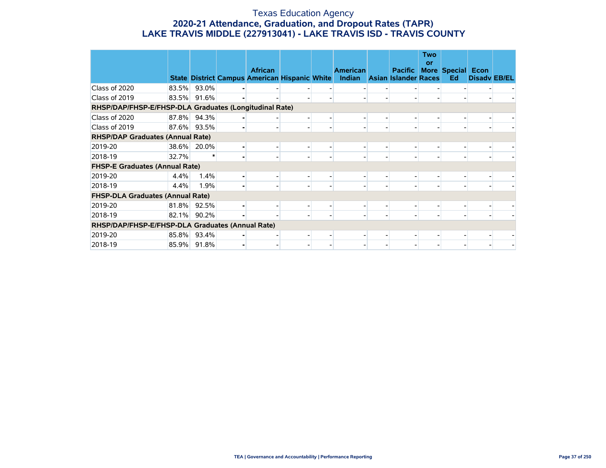## Texas Education Agency **2020-21 Attendance, Graduation, and Dropout Rates (TAPR) LAKE TRAVIS MIDDLE (227913041) - LAKE TRAVIS ISD - TRAVIS COUNTY**

|                                                        |       |       |                                                                        |                          |                           |                                               | Two<br>or |                                |                     |  |
|--------------------------------------------------------|-------|-------|------------------------------------------------------------------------|--------------------------|---------------------------|-----------------------------------------------|-----------|--------------------------------|---------------------|--|
|                                                        |       |       | <b>African</b><br><b>State District Campus American Hispanic White</b> |                          | <b>American</b><br>Indian | <b>Pacific</b><br><b>Asian Islander Races</b> |           | <b>More Special Econ</b><br>Ed | <b>Disady EB/EL</b> |  |
| Class of 2020                                          | 83.5% | 93.0% |                                                                        |                          |                           |                                               |           |                                |                     |  |
| Class of 2019                                          | 83.5% | 91.6% |                                                                        |                          |                           |                                               |           |                                |                     |  |
| RHSP/DAP/FHSP-E/FHSP-DLA Graduates (Longitudinal Rate) |       |       |                                                                        |                          |                           |                                               |           |                                |                     |  |
| Class of 2020                                          | 87.8% | 94.3% |                                                                        |                          |                           |                                               |           |                                |                     |  |
| Class of 2019                                          | 87.6% | 93.5% |                                                                        | -                        |                           |                                               |           |                                |                     |  |
| <b>RHSP/DAP Graduates (Annual Rate)</b>                |       |       |                                                                        |                          |                           |                                               |           |                                |                     |  |
| 2019-20                                                | 38.6% | 20.0% |                                                                        |                          |                           |                                               |           |                                |                     |  |
| 2018-19                                                | 32.7% |       |                                                                        | $\overline{\phantom{a}}$ |                           |                                               |           |                                |                     |  |
| <b>FHSP-E Graduates (Annual Rate)</b>                  |       |       |                                                                        |                          |                           |                                               |           |                                |                     |  |
| 2019-20                                                | 4.4%  | 1.4%  |                                                                        |                          |                           |                                               |           |                                |                     |  |
| 2018-19                                                | 4.4%  | 1.9%  |                                                                        | $\overline{\phantom{a}}$ |                           |                                               |           |                                |                     |  |
| <b>FHSP-DLA Graduates (Annual Rate)</b>                |       |       |                                                                        |                          |                           |                                               |           |                                |                     |  |
| 2019-20                                                | 81.8% | 92.5% |                                                                        |                          |                           |                                               |           |                                |                     |  |
| 2018-19                                                | 82.1% | 90.2% |                                                                        |                          |                           |                                               |           |                                |                     |  |
| RHSP/DAP/FHSP-E/FHSP-DLA Graduates (Annual Rate)       |       |       |                                                                        |                          |                           |                                               |           |                                |                     |  |
| 2019-20                                                | 85.8% | 93.4% |                                                                        |                          |                           |                                               |           |                                |                     |  |
| 2018-19                                                | 85.9% | 91.8% |                                                                        |                          |                           |                                               |           |                                |                     |  |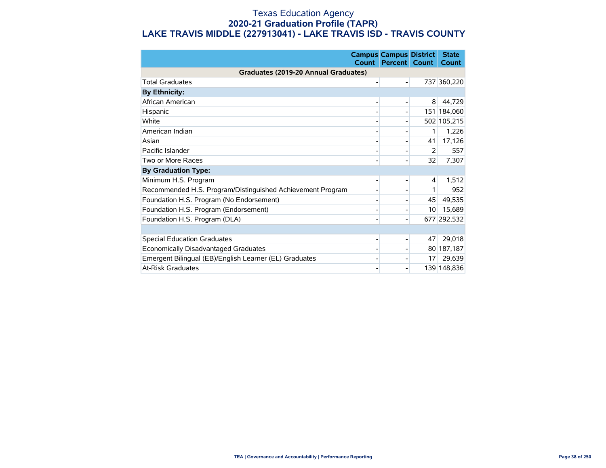## Texas Education Agency **2020-21 Graduation Profile (TAPR) LAKE TRAVIS MIDDLE (227913041) - LAKE TRAVIS ISD - TRAVIS COUNTY**

|                                                            | Count | <b>Campus Campus District</b><br><b>Percent</b> | <b>Count</b>   | <b>State</b><br>Count |
|------------------------------------------------------------|-------|-------------------------------------------------|----------------|-----------------------|
| Graduates (2019-20 Annual Graduates)                       |       |                                                 |                |                       |
| <b>Total Graduates</b>                                     |       |                                                 |                | 737 360,220           |
| <b>By Ethnicity:</b>                                       |       |                                                 |                |                       |
| African American                                           |       |                                                 | 8              | 44,729                |
| Hispanic                                                   |       |                                                 |                | 151 184,060           |
| White                                                      |       |                                                 |                | 502 105,215           |
| American Indian                                            |       |                                                 | 1              | 1,226                 |
| Asian                                                      |       |                                                 | 41             | 17,126                |
| Pacific Islander                                           |       |                                                 | $\overline{2}$ | 557                   |
| Two or More Races                                          |       |                                                 | 32             | 7,307                 |
| <b>By Graduation Type:</b>                                 |       |                                                 |                |                       |
| Minimum H.S. Program                                       |       |                                                 | 4              | 1,512                 |
| Recommended H.S. Program/Distinguished Achievement Program |       |                                                 |                | 952                   |
| Foundation H.S. Program (No Endorsement)                   |       |                                                 | 45             | 49,535                |
| Foundation H.S. Program (Endorsement)                      |       |                                                 | 10             | 15,689                |
| Foundation H.S. Program (DLA)                              |       |                                                 |                | 677 292,532           |
|                                                            |       |                                                 |                |                       |
| <b>Special Education Graduates</b>                         |       |                                                 | 47             | 29,018                |
| Economically Disadvantaged Graduates                       |       |                                                 |                | 80 187,187            |
| Emergent Bilingual (EB)/English Learner (EL) Graduates     |       |                                                 | 17             | 29,639                |
| At-Risk Graduates                                          |       |                                                 |                | 139 148,836           |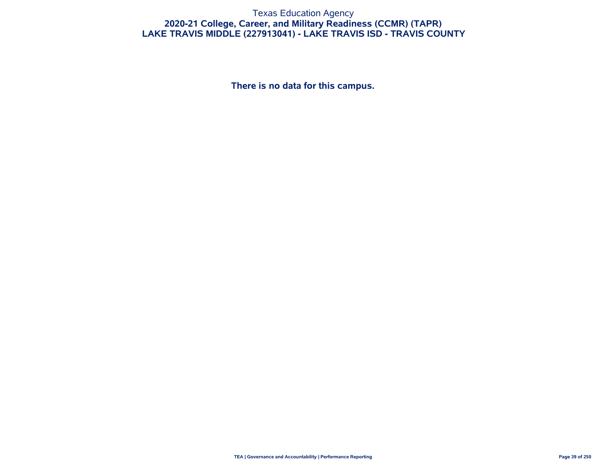## Texas Education Agency **2020-21 College, Career, and Military Readiness (CCMR) (TAPR) LAKE TRAVIS MIDDLE (227913041) - LAKE TRAVIS ISD - TRAVIS COUNTY**

**There is no data for this campus.**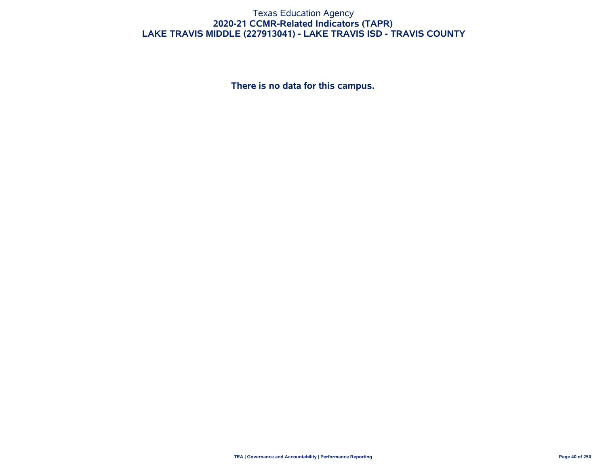#### Texas Education Agency **2020-21 CCMR-Related Indicators (TAPR) LAKE TRAVIS MIDDLE (227913041) - LAKE TRAVIS ISD - TRAVIS COUNTY**

**There is no data for this campus.**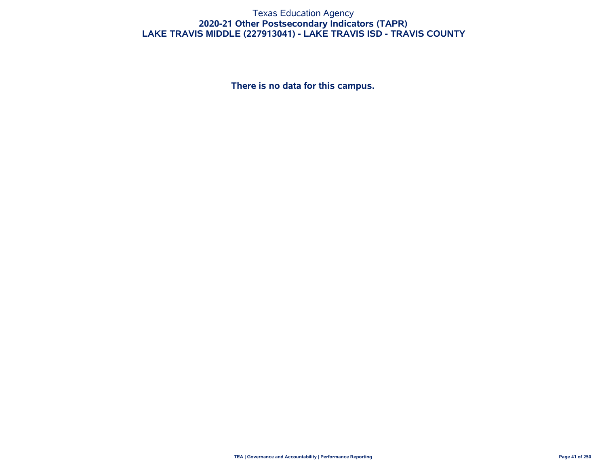#### Texas Education Agency **2020-21 Other Postsecondary Indicators (TAPR) LAKE TRAVIS MIDDLE (227913041) - LAKE TRAVIS ISD - TRAVIS COUNTY**

**There is no data for this campus.**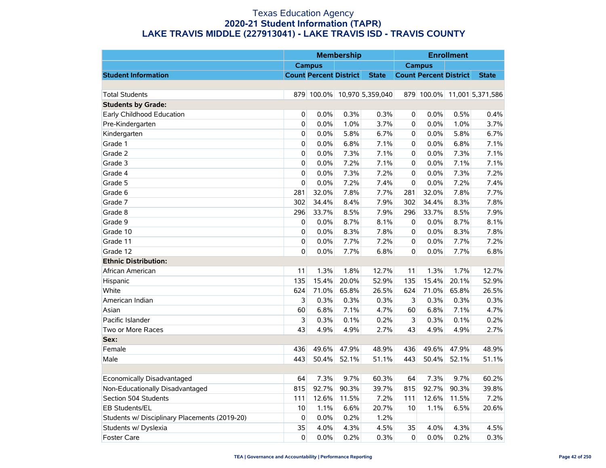|                                               |              | <b>Membership</b>             |       |                  | <b>Enrollment</b>       |                               |       |                             |
|-----------------------------------------------|--------------|-------------------------------|-------|------------------|-------------------------|-------------------------------|-------|-----------------------------|
|                                               |              | <b>Campus</b>                 |       |                  | <b>Campus</b>           |                               |       |                             |
| <b>Student Information</b>                    |              | <b>Count Percent District</b> |       | <b>State</b>     |                         | <b>Count Percent District</b> |       | <b>State</b>                |
|                                               |              |                               |       |                  |                         |                               |       |                             |
| <b>Total Students</b>                         |              | 879 100.0%                    |       | 10,970 5,359,040 |                         |                               |       | 879 100.0% 11,001 5,371,586 |
| <b>Students by Grade:</b>                     |              |                               |       |                  |                         |                               |       |                             |
| Early Childhood Education                     | 0            | 0.0%                          | 0.3%  | 0.3%             | 0                       | 0.0%                          | 0.5%  | 0.4%                        |
| Pre-Kindergarten                              | 0            | 0.0%                          | 1.0%  | 3.7%             | 0                       | 0.0%                          | 1.0%  | 3.7%                        |
| Kindergarten                                  | 0            | 0.0%                          | 5.8%  | 6.7%             | 0                       | 0.0%                          | 5.8%  | 6.7%                        |
| Grade 1                                       | 0            | 0.0%                          | 6.8%  | 7.1%             | 0                       | 0.0%                          | 6.8%  | 7.1%                        |
| Grade 2                                       | $\mathbf{0}$ | 0.0%                          | 7.3%  | 7.1%             | 0                       | 0.0%                          | 7.3%  | 7.1%                        |
| Grade 3                                       | 0            | 0.0%                          | 7.2%  | 7.1%             | $\pmb{0}$               | 0.0%                          | 7.1%  | 7.1%                        |
| Grade 4                                       | $\mathbf{0}$ | 0.0%                          | 7.3%  | 7.2%             | 0                       | 0.0%                          | 7.3%  | 7.2%                        |
| Grade 5                                       | $\mathbf{0}$ | 0.0%                          | 7.2%  | 7.4%             | 0                       | 0.0%                          | 7.2%  | 7.4%                        |
| Grade 6                                       | 281          | 32.0%                         | 7.8%  | 7.7%             | 281                     | 32.0%                         | 7.8%  | 7.7%                        |
| Grade 7                                       | 302          | 34.4%                         | 8.4%  | 7.9%             | 302                     | 34.4%                         | 8.3%  | 7.8%                        |
| Grade 8                                       | 296          | 33.7%                         | 8.5%  | 7.9%             | 296                     | 33.7%                         | 8.5%  | 7.9%                        |
| Grade 9                                       | 0            | 0.0%                          | 8.7%  | 8.1%             | 0                       | 0.0%                          | 8.7%  | 8.1%                        |
| Grade 10                                      | $\mathbf{0}$ | 0.0%                          | 8.3%  | 7.8%             | 0                       | 0.0%                          | 8.3%  | 7.8%                        |
| Grade 11                                      | $\mathbf 0$  | 0.0%                          | 7.7%  | 7.2%             | 0                       | 0.0%                          | 7.7%  | 7.2%                        |
| Grade 12                                      | 0            | 0.0%                          | 7.7%  | 6.8%             | 0                       | 0.0%                          | 7.7%  | 6.8%                        |
| <b>Ethnic Distribution:</b>                   |              |                               |       |                  |                         |                               |       |                             |
| African American                              | 11           | 1.3%                          | 1.8%  | 12.7%            | 11                      | 1.3%                          | 1.7%  | 12.7%                       |
| Hispanic                                      | 135          | 15.4%                         | 20.0% | 52.9%            | 135                     | 15.4%                         | 20.1% | 52.9%                       |
| White                                         | 624          | 71.0%                         | 65.8% | 26.5%            | 624                     | 71.0%                         | 65.8% | 26.5%                       |
| American Indian                               | 3            | 0.3%                          | 0.3%  | 0.3%             | 3                       | 0.3%                          | 0.3%  | 0.3%                        |
| Asian                                         | 60           | 6.8%                          | 7.1%  | 4.7%             | 60                      | 6.8%                          | 7.1%  | 4.7%                        |
| Pacific Islander                              | 3            | 0.3%                          | 0.1%  | 0.2%             | $\overline{\mathbf{3}}$ | 0.3%                          | 0.1%  | 0.2%                        |
| Two or More Races                             | 43           | 4.9%                          | 4.9%  | 2.7%             | 43                      | 4.9%                          | 4.9%  | 2.7%                        |
| Sex:                                          |              |                               |       |                  |                         |                               |       |                             |
| Female                                        | 436          | 49.6%                         | 47.9% | 48.9%            | 436                     | 49.6%                         | 47.9% | 48.9%                       |
| Male                                          | 443          | 50.4%                         | 52.1% | 51.1%            | 443                     | 50.4%                         | 52.1% | 51.1%                       |
|                                               |              |                               |       |                  |                         |                               |       |                             |
| Economically Disadvantaged                    | 64           | 7.3%                          | 9.7%  | 60.3%            | 64                      | 7.3%                          | 9.7%  | 60.2%                       |
| Non-Educationally Disadvantaged               | 815          | 92.7%                         | 90.3% | 39.7%            | 815                     | 92.7%                         | 90.3% | 39.8%                       |
| Section 504 Students                          | 111          | 12.6%                         | 11.5% | 7.2%             | 111                     | 12.6%                         | 11.5% | 7.2%                        |
| <b>EB Students/EL</b>                         | 10           | 1.1%                          | 6.6%  | 20.7%            | 10                      | 1.1%                          | 6.5%  | 20.6%                       |
| Students w/ Disciplinary Placements (2019-20) | 0            | 0.0%                          | 0.2%  | 1.2%             |                         |                               |       |                             |
| Students w/ Dyslexia                          | 35           | 4.0%                          | 4.3%  | 4.5%             | 35                      | 4.0%                          | 4.3%  | 4.5%                        |
| <b>Foster Care</b>                            | $\mathbf 0$  | 0.0%                          | 0.2%  | 0.3%             | $\Omega$                | 0.0%                          | 0.2%  | 0.3%                        |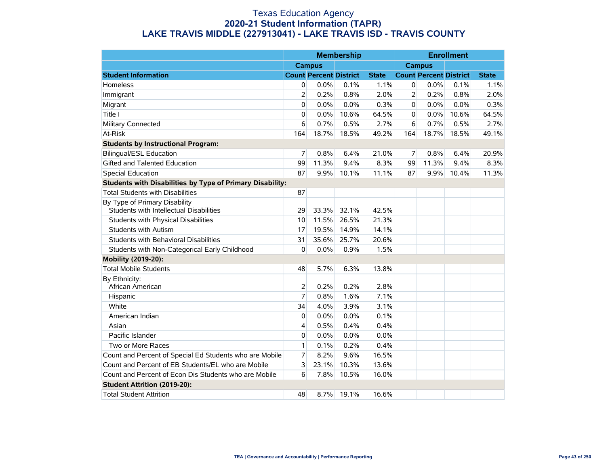|                                                                          | <b>Membership</b> |                               |       | <b>Enrollment</b> |             |       |                               |              |
|--------------------------------------------------------------------------|-------------------|-------------------------------|-------|-------------------|-------------|-------|-------------------------------|--------------|
|                                                                          |                   | <b>Campus</b>                 |       | <b>Campus</b>     |             |       |                               |              |
| <b>Student Information</b>                                               |                   | <b>Count Percent District</b> |       | <b>State</b>      |             |       | <b>Count Percent District</b> | <b>State</b> |
| <b>Homeless</b>                                                          | 0                 | 0.0%                          | 0.1%  | 1.1%              | $\mathbf 0$ | 0.0%  | 0.1%                          | 1.1%         |
| Immigrant                                                                | 2                 | 0.2%                          | 0.8%  | 2.0%              | 2           | 0.2%  | 0.8%                          | 2.0%         |
| Migrant                                                                  | 0                 | 0.0%                          | 0.0%  | 0.3%              | 0           | 0.0%  | 0.0%                          | 0.3%         |
| Title I                                                                  | 0                 | 0.0%                          | 10.6% | 64.5%             | 0           | 0.0%  | 10.6%                         | 64.5%        |
| Military Connected                                                       | 6                 | 0.7%                          | 0.5%  | 2.7%              | 6           | 0.7%  | 0.5%                          | 2.7%         |
| At-Risk                                                                  | 164               | 18.7%                         | 18.5% | 49.2%             | 164         | 18.7% | 18.5%                         | 49.1%        |
| <b>Students by Instructional Program:</b>                                |                   |                               |       |                   |             |       |                               |              |
| <b>Bilingual/ESL Education</b>                                           | 7                 | 0.8%                          | 6.4%  | 21.0%             | 7           | 0.8%  | 6.4%                          | 20.9%        |
| Gifted and Talented Education                                            | 99                | 11.3%                         | 9.4%  | 8.3%              | 99          | 11.3% | 9.4%                          | 8.3%         |
| <b>Special Education</b>                                                 | 87                | 9.9%                          | 10.1% | 11.1%             | 87          | 9.9%  | 10.4%                         | 11.3%        |
| Students with Disabilities by Type of Primary Disability:                |                   |                               |       |                   |             |       |                               |              |
| <b>Total Students with Disabilities</b>                                  | 87                |                               |       |                   |             |       |                               |              |
| By Type of Primary Disability<br>Students with Intellectual Disabilities | 29                | 33.3%                         | 32.1% | 42.5%             |             |       |                               |              |
| Students with Physical Disabilities                                      | 10                | 11.5%                         | 26.5% | 21.3%             |             |       |                               |              |
| <b>Students with Autism</b>                                              | 17                | 19.5%                         | 14.9% | 14.1%             |             |       |                               |              |
| Students with Behavioral Disabilities                                    | 31                | 35.6%                         | 25.7% | 20.6%             |             |       |                               |              |
| Students with Non-Categorical Early Childhood                            | 0                 | 0.0%                          | 0.9%  | 1.5%              |             |       |                               |              |
| Mobility (2019-20):                                                      |                   |                               |       |                   |             |       |                               |              |
| <b>Total Mobile Students</b>                                             | 48                | 5.7%                          | 6.3%  | 13.8%             |             |       |                               |              |
| By Ethnicity:<br>African American                                        | 2                 | 0.2%                          | 0.2%  | 2.8%              |             |       |                               |              |
| Hispanic                                                                 | 7                 | 0.8%                          | 1.6%  | 7.1%              |             |       |                               |              |
| White                                                                    | 34                | 4.0%                          | 3.9%  | 3.1%              |             |       |                               |              |
| American Indian                                                          | 0                 | 0.0%                          | 0.0%  | 0.1%              |             |       |                               |              |
| Asian                                                                    | 4                 | 0.5%                          | 0.4%  | 0.4%              |             |       |                               |              |
| Pacific Islander                                                         | 0                 | 0.0%                          | 0.0%  | 0.0%              |             |       |                               |              |
| Two or More Races                                                        | 1                 | 0.1%                          | 0.2%  | 0.4%              |             |       |                               |              |
| Count and Percent of Special Ed Students who are Mobile                  | 7                 | 8.2%                          | 9.6%  | 16.5%             |             |       |                               |              |
| Count and Percent of EB Students/EL who are Mobile                       | 3                 | 23.1%                         | 10.3% | 13.6%             |             |       |                               |              |
| Count and Percent of Econ Dis Students who are Mobile                    | 6                 | 7.8%                          | 10.5% | 16.0%             |             |       |                               |              |
| <b>Student Attrition (2019-20):</b>                                      |                   |                               |       |                   |             |       |                               |              |
| <b>Total Student Attrition</b>                                           | 48                | 8.7%                          | 19.1% | 16.6%             |             |       |                               |              |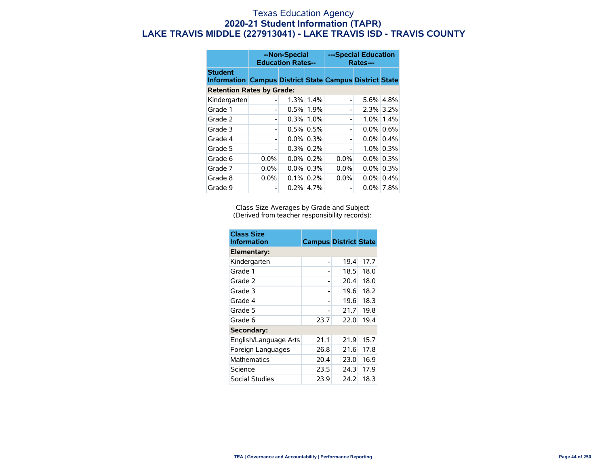|                                                                                  | --Non-Special<br><b>Education Rates--</b> |      |              | ---Special Education<br>Rates--- |  |              |  |  |
|----------------------------------------------------------------------------------|-------------------------------------------|------|--------------|----------------------------------|--|--------------|--|--|
| <b>Student</b><br><b>Information Campus District State Campus District State</b> |                                           |      |              |                                  |  |              |  |  |
| <b>Retention Rates by Grade:</b>                                                 |                                           |      |              |                                  |  |              |  |  |
| Kindergarten                                                                     |                                           |      | 1.3% 1.4%    | $\overline{a}$                   |  | 5.6% 4.8%    |  |  |
| Grade 1                                                                          |                                           |      | $0.5\%$ 1.9% | -                                |  | $2.3\%$ 3.2% |  |  |
| Grade 2                                                                          | -                                         | 0.3% | 1.0%         | -                                |  | $1.0\%$ 1.4% |  |  |
| Grade 3                                                                          |                                           |      | $0.5\%$ 0.5% | -                                |  | $0.0\%$ 0.6% |  |  |
| Grade 4                                                                          | -                                         |      | $0.0\%$ 0.3% | $\overline{\phantom{0}}$         |  | $0.0\%$ 0.4% |  |  |
| Grade 5                                                                          |                                           |      | $0.3\%$ 0.2% |                                  |  | $1.0\%$ 0.3% |  |  |
| Grade 6                                                                          | $0.0\%$                                   |      | $0.0\%$ 0.2% | 0.0%                             |  | $0.0\%$ 0.3% |  |  |
| Grade 7                                                                          | $0.0\%$                                   |      | $0.0\%$ 0.3% | 0.0%                             |  | $0.0\%$ 0.3% |  |  |
| Grade 8                                                                          | $0.0\%$                                   |      | $0.1\%$ 0.2% | $0.0\%$                          |  | $0.0\%$ 0.4% |  |  |
| Grade 9                                                                          |                                           |      | $0.2\%$ 4.7% |                                  |  | $0.0\%$ 7.8% |  |  |

Class Size Averages by Grade and Subject (Derived from teacher responsibility records):

| <b>Class Size</b><br><b>Information</b> | <b>Campus District State</b> |      |      |
|-----------------------------------------|------------------------------|------|------|
| Elementary:                             |                              |      |      |
| Kindergarten                            |                              | 19.4 | 17.7 |
| Grade 1                                 |                              | 18.5 | 18.0 |
| Grade 2                                 |                              | 20.4 | 18.0 |
| Grade 3                                 |                              | 19.6 | 18.2 |
| Grade 4                                 |                              | 19.6 | 18.3 |
| Grade 5                                 |                              | 21.7 | 19.8 |
| Grade 6                                 | 23.7                         | 22.0 | 19.4 |
| Secondary:                              |                              |      |      |
| English/Language Arts                   | 21.1                         | 21.9 | 15.7 |
| Foreign Languages                       | 26.8                         | 21.6 | 17.8 |
| <b>Mathematics</b>                      | 20.4                         | 23.0 | 16.9 |
| Science                                 | 23.5                         | 24.3 | 17.9 |
| Social Studies                          | 23.9                         | 24.2 | 18.3 |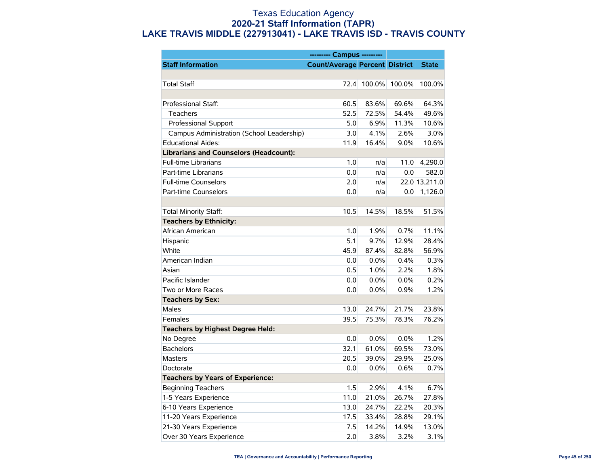|                                               | --------- Campus ---------            |        |         |               |
|-----------------------------------------------|---------------------------------------|--------|---------|---------------|
| <b>Staff Information</b>                      | <b>Count/Average Percent District</b> |        |         | <b>State</b>  |
|                                               |                                       |        |         |               |
| <b>Total Staff</b>                            | 72.4                                  | 100.0% | 100.0%  | 100.0%        |
|                                               |                                       |        |         |               |
| Professional Staff:                           | 60.5                                  | 83.6%  | 69.6%   | 64.3%         |
| <b>Teachers</b>                               | 52.5                                  | 72.5%  | 54.4%   | 49.6%         |
| Professional Support                          | 5.0                                   | 6.9%   | 11.3%   | 10.6%         |
| Campus Administration (School Leadership)     | 3.0                                   | 4.1%   | 2.6%    | 3.0%          |
| <b>Educational Aides:</b>                     | 11.9                                  | 16.4%  | $9.0\%$ | 10.6%         |
| <b>Librarians and Counselors (Headcount):</b> |                                       |        |         |               |
| <b>Full-time Librarians</b>                   | 1.0                                   | n/a    | 11.0    | 4,290.0       |
| Part-time Librarians                          | 0.0                                   | n/a    | 0.0     | 582.0         |
| <b>Full-time Counselors</b>                   | 2.0                                   | n/a    |         | 22.0 13,211.0 |
| Part-time Counselors                          | 0.0                                   | n/a    | 0.0     | 1,126.0       |
|                                               |                                       |        |         |               |
| Total Minority Staff:                         | 10.5                                  | 14.5%  | 18.5%   | 51.5%         |
| <b>Teachers by Ethnicity:</b>                 |                                       |        |         |               |
| African American                              | 1.0                                   | 1.9%   | 0.7%    | 11.1%         |
| Hispanic                                      | 5.1                                   | 9.7%   | 12.9%   | 28.4%         |
| White                                         | 45.9                                  | 87.4%  | 82.8%   | 56.9%         |
| American Indian                               | 0.0                                   | 0.0%   | 0.4%    | 0.3%          |
| Asian                                         | 0.5                                   | 1.0%   | 2.2%    | 1.8%          |
| Pacific Islander                              | 0.0                                   | 0.0%   | 0.0%    | 0.2%          |
| Two or More Races                             | 0.0                                   | 0.0%   | 0.9%    | 1.2%          |
| <b>Teachers by Sex:</b>                       |                                       |        |         |               |
| <b>Males</b>                                  | 13.0                                  | 24.7%  | 21.7%   | 23.8%         |
| Females                                       | 39.5                                  | 75.3%  | 78.3%   | 76.2%         |
| <b>Teachers by Highest Degree Held:</b>       |                                       |        |         |               |
| No Degree                                     | 0.0                                   | 0.0%   | 0.0%    | 1.2%          |
| <b>Bachelors</b>                              | 32.1                                  | 61.0%  | 69.5%   | 73.0%         |
| <b>Masters</b>                                | 20.5                                  | 39.0%  | 29.9%   | 25.0%         |
| Doctorate                                     | 0.0                                   | 0.0%   | 0.6%    | 0.7%          |
| <b>Teachers by Years of Experience:</b>       |                                       |        |         |               |
| <b>Beginning Teachers</b>                     | 1.5                                   | 2.9%   | 4.1%    | 6.7%          |
| 1-5 Years Experience                          | 11.0                                  | 21.0%  | 26.7%   | 27.8%         |
| 6-10 Years Experience                         | 13.0                                  | 24.7%  | 22.2%   | 20.3%         |
| 11-20 Years Experience                        | 17.5                                  | 33.4%  | 28.8%   | 29.1%         |
| 21-30 Years Experience                        | 7.5                                   | 14.2%  | 14.9%   | 13.0%         |
| Over 30 Years Experience                      | 2.0                                   | 3.8%   | 3.2%    | 3.1%          |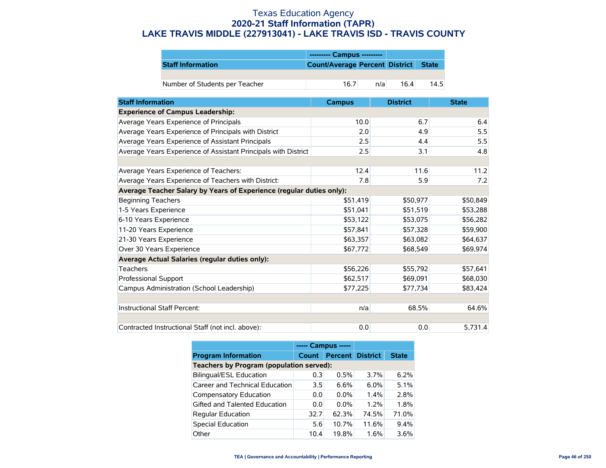|                                |      | --------- Campus ---------           |      |      |
|--------------------------------|------|--------------------------------------|------|------|
| <b>Staff Information</b>       |      | Count/Average Percent District State |      |      |
|                                |      |                                      |      |      |
| Number of Students per Teacher | 16.7 | n/a                                  | 16.4 | 14.5 |

| <b>Staff Information</b>                                             | <b>Campus</b> | <b>District</b> | <b>State</b> |
|----------------------------------------------------------------------|---------------|-----------------|--------------|
| <b>Experience of Campus Leadership:</b>                              |               |                 |              |
| Average Years Experience of Principals                               | 10.0          | 6.7             | 6.4          |
| Average Years Experience of Principals with District                 | 2.0           | 4.9             | 5.5          |
| Average Years Experience of Assistant Principals                     | 2.5           | 4.4             | 5.5          |
| Average Years Experience of Assistant Principals with District       | 2.5           | 3.1             | 4.8          |
|                                                                      |               |                 |              |
| Average Years Experience of Teachers:                                | 12.4          | 11.6            | 11.2         |
| Average Years Experience of Teachers with District:                  | 7.8           | 5.9             | 7.2          |
| Average Teacher Salary by Years of Experience (regular duties only): |               |                 |              |
| <b>Beginning Teachers</b>                                            | \$51,419      | \$50,977        | \$50,849     |
| 1-5 Years Experience                                                 | \$51,041      | \$51,519        | \$53,288     |
| 6-10 Years Experience                                                | \$53,122      | \$53,075        | \$56,282     |
| 11-20 Years Experience                                               | \$57,841      | \$57,328        | \$59,900     |
| 21-30 Years Experience                                               | \$63,357      | \$63,082        | \$64,637     |
| Over 30 Years Experience                                             | \$67,772      | \$68,549        | \$69,974     |
| Average Actual Salaries (regular duties only):                       |               |                 |              |
| <b>Teachers</b>                                                      | \$56,226      | \$55,792        | \$57,641     |
| Professional Support                                                 | \$62,517      | \$69,091        | \$68,030     |
| Campus Administration (School Leadership)                            | \$77,225      | \$77,734        | \$83,424     |
|                                                                      |               |                 |              |
| Instructional Staff Percent:                                         | n/a           | 68.5%           | 64.6%        |
|                                                                      |               |                 |              |
| Contracted Instructional Staff (not incl. above):                    | 0.0           | 0.0             | 5,731.4      |

|                                          | ----- Campus ----- |                         |         |              |  |  |  |
|------------------------------------------|--------------------|-------------------------|---------|--------------|--|--|--|
| <b>Program Information</b>               | Count              | <b>Percent District</b> |         | <b>State</b> |  |  |  |
| Teachers by Program (population served): |                    |                         |         |              |  |  |  |
| <b>Bilingual/ESL Education</b>           | 0.3                | 0.5%                    | $3.7\%$ | 6.2%         |  |  |  |
| Career and Technical Education           | 3.5                | 6.6%                    | 6.0%    | 5.1%         |  |  |  |
| Compensatory Education                   | 0.0                | $0.0\%$                 | 1.4%    | 2.8%         |  |  |  |
| Gifted and Talented Education            | 0.0                | $0.0\%$                 | 1.2%    | 1.8%         |  |  |  |
| <b>Regular Education</b>                 | 32.7               | 62.3%                   | 74.5%   | 71.0%        |  |  |  |
| <b>Special Education</b>                 | 5.6                | 10.7%                   | 11.6%   | 9.4%         |  |  |  |
| Other                                    | 10.4               | 19.8%                   | 1.6%    | 3.6%         |  |  |  |